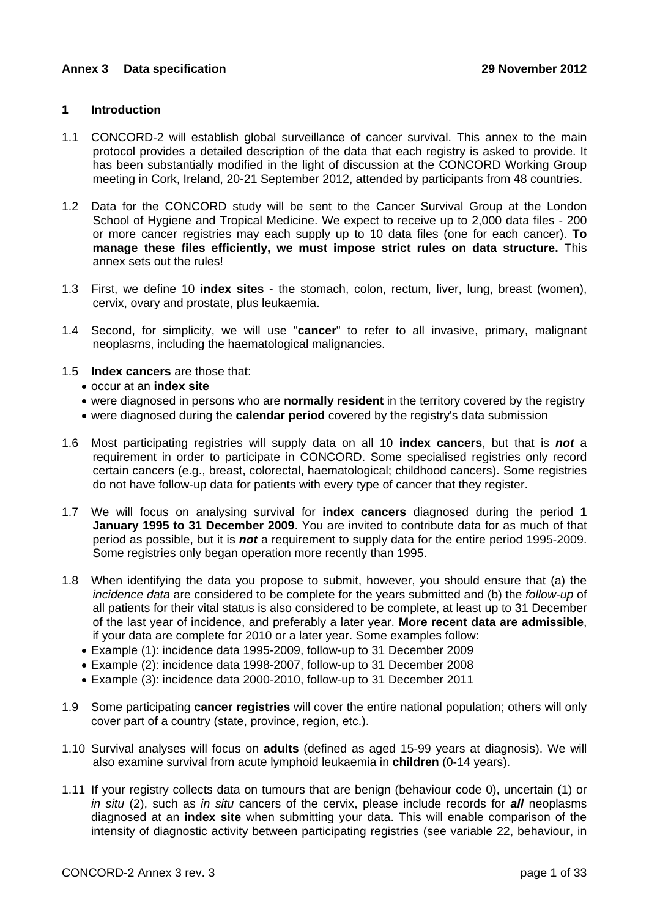## **1 Introduction**

- 1.1 CONCORD-2 will establish global surveillance of cancer survival. This annex to the main protocol provides a detailed description of the data that each registry is asked to provide. It has been substantially modified in the light of discussion at the CONCORD Working Group meeting in Cork, Ireland, 20-21 September 2012, attended by participants from 48 countries.
- 1.2 Data for the CONCORD study will be sent to the Cancer Survival Group at the London School of Hygiene and Tropical Medicine. We expect to receive up to 2,000 data files - 200 or more cancer registries may each supply up to 10 data files (one for each cancer). **To manage these files efficiently, we must impose strict rules on data structure.** This annex sets out the rules!
- 1.3 First, we define 10 **index sites** the stomach, colon, rectum, liver, lung, breast (women), cervix, ovary and prostate, plus leukaemia.
- 1.4 Second, for simplicity, we will use "**cancer**" to refer to all invasive, primary, malignant neoplasms, including the haematological malignancies.
- 1.5 **Index cancers** are those that:
	- occur at an **index site**
	- were diagnosed in persons who are **normally resident** in the territory covered by the registry
	- were diagnosed during the **calendar period** covered by the registry's data submission
- 1.6 Most participating registries will supply data on all 10 **index cancers**, but that is *not* a requirement in order to participate in CONCORD. Some specialised registries only record certain cancers (e.g., breast, colorectal, haematological; childhood cancers). Some registries do not have follow-up data for patients with every type of cancer that they register.
- 1.7 We will focus on analysing survival for **index cancers** diagnosed during the period **1 January 1995 to 31 December 2009**. You are invited to contribute data for as much of that period as possible, but it is *not* a requirement to supply data for the entire period 1995-2009. Some registries only began operation more recently than 1995.
- 1.8 When identifying the data you propose to submit, however, you should ensure that (a) the *incidence data* are considered to be complete for the years submitted and (b) the *follow-up* of all patients for their vital status is also considered to be complete, at least up to 31 December of the last year of incidence, and preferably a later year. **More recent data are admissible**, if your data are complete for 2010 or a later year. Some examples follow:
	- Example (1): incidence data 1995-2009, follow-up to 31 December 2009
	- Example (2): incidence data 1998-2007, follow-up to 31 December 2008
	- Example (3): incidence data 2000-2010, follow-up to 31 December 2011
- 1.9 Some participating **cancer registries** will cover the entire national population; others will only cover part of a country (state, province, region, etc.).
- 1.10 Survival analyses will focus on **adults** (defined as aged 15-99 years at diagnosis). We will also examine survival from acute lymphoid leukaemia in **children** (0-14 years).
- 1.11 If your registry collects data on tumours that are benign (behaviour code 0), uncertain (1) or *in situ* (2), such as *in situ* cancers of the cervix, please include records for *all* neoplasms diagnosed at an **index site** when submitting your data. This will enable comparison of the intensity of diagnostic activity between participating registries (see variable 22, behaviour, in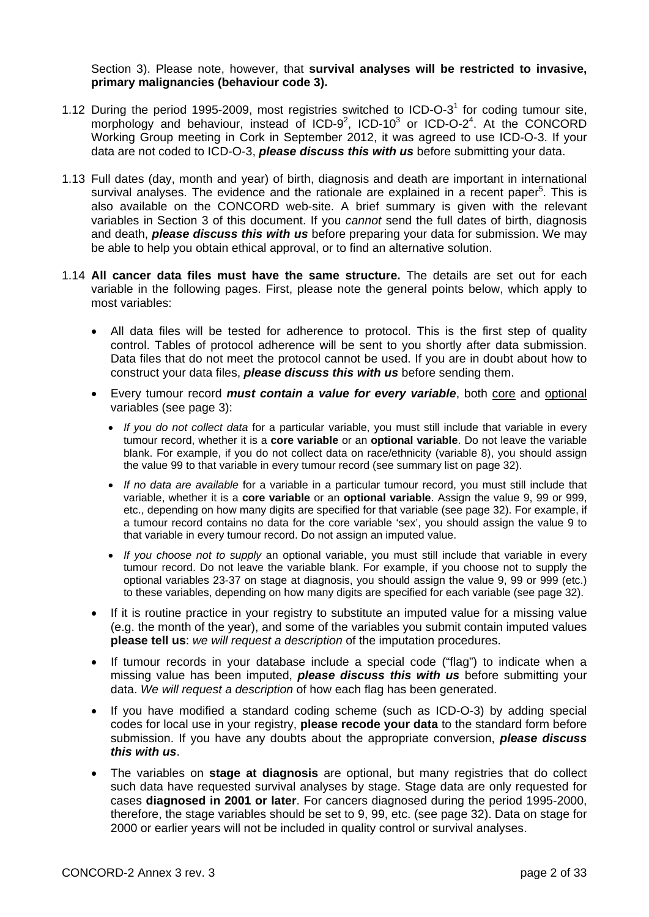Section 3). Please note, however, that **survival analyses will be restricted to invasive, primary malignancies (behaviour code 3).**

- 1.12 During the period 1995-2009, most registries switched to ICD-O-3<sup>1</sup> for coding tumour site, morphology and behaviour, instead of ICD-9<sup>2</sup>, ICD-10<sup>3</sup> or ICD-O-2<sup>4</sup>. At the CONCORD Working Group meeting in Cork in September 2012, it was agreed to use ICD-O-3. If your data are not coded to ICD-O-3, *please discuss this with us* before submitting your data.
- 1.13 Full dates (day, month and year) of birth, diagnosis and death are important in international survival analyses. The evidence and the rationale are explained in a recent paper<sup>5</sup>. This is also available on the CONCORD web-site. A brief summary is given with the relevant variables in Section 3 of this document. If you *cannot* send the full dates of birth, diagnosis and death, *please discuss this with us* before preparing your data for submission. We may be able to help you obtain ethical approval, or to find an alternative solution.
- 1.14 **All cancer data files must have the same structure.** The details are set out for each variable in the following pages. First, please note the general points below, which apply to most variables:
	- All data files will be tested for adherence to protocol. This is the first step of quality control. Tables of protocol adherence will be sent to you shortly after data submission. Data files that do not meet the protocol cannot be used. If you are in doubt about how to construct your data files, *please discuss this with us* before sending them.
	- Every tumour record *must contain a value for every variable*, both core and optional variables (see page 3):
		- *If you do not collect data* for a particular variable, you must still include that variable in every tumour record, whether it is a **core variable** or an **optional variable**. Do not leave the variable blank. For example, if you do not collect data on race/ethnicity (variable 8), you should assign the value 99 to that variable in every tumour record (see summary list on page 32).
		- *If no data are available* for a variable in a particular tumour record, you must still include that variable, whether it is a **core variable** or an **optional variable**. Assign the value 9, 99 or 999, etc., depending on how many digits are specified for that variable (see page 32). For example, if a tumour record contains no data for the core variable 'sex', you should assign the value 9 to that variable in every tumour record. Do not assign an imputed value.
		- *If you choose not to supply* an optional variable, you must still include that variable in every tumour record. Do not leave the variable blank. For example, if you choose not to supply the optional variables 23-37 on stage at diagnosis, you should assign the value 9, 99 or 999 (etc.) to these variables, depending on how many digits are specified for each variable (see page 32).
	- If it is routine practice in your registry to substitute an imputed value for a missing value (e.g. the month of the year), and some of the variables you submit contain imputed values **please tell us**: *we will request a description* of the imputation procedures.
	- If tumour records in your database include a special code ("flag") to indicate when a missing value has been imputed, *please discuss this with us* before submitting your data. *We will request a description* of how each flag has been generated.
	- If you have modified a standard coding scheme (such as ICD-O-3) by adding special codes for local use in your registry, **please recode your data** to the standard form before submission. If you have any doubts about the appropriate conversion, *please discuss this with us*.
	- The variables on **stage at diagnosis** are optional, but many registries that do collect such data have requested survival analyses by stage. Stage data are only requested for cases **diagnosed in 2001 or later**. For cancers diagnosed during the period 1995-2000, therefore, the stage variables should be set to 9, 99, etc. (see page 32). Data on stage for 2000 or earlier years will not be included in quality control or survival analyses.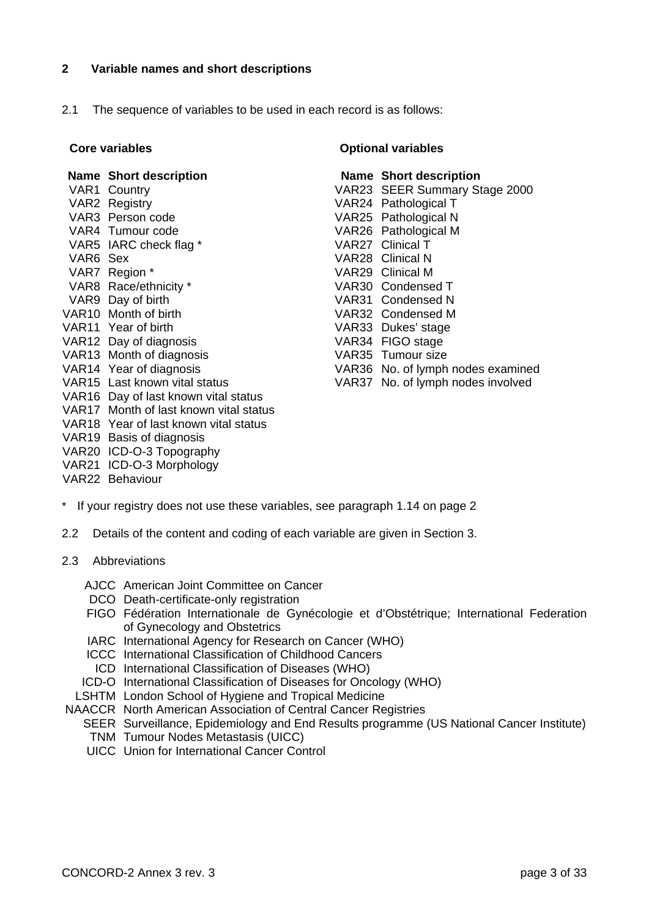## **2 Variable names and short descriptions**

2.1 The sequence of variables to be used in each record is as follows:

### **Name Short description**

VAR1 Country VAR<sub>2</sub> Registry VAR3 Person code VAR4 Tumour code VAR5 IARC check flag \* VAR6 Sex VAR7 Region \* VAR8 Race/ethnicity \* VAR9 Day of birth VAR10 Month of birth VAR11 Year of birth VAR12 Day of diagnosis VAR13 Month of diagnosis VAR14 Year of diagnosis VAR15 Last known vital status VAR16 Day of last known vital status VAR17 Month of last known vital status VAR18 Year of last known vital status VAR19 Basis of diagnosis VAR20 ICD-O-3 Topography VAR21 ICD-O-3 Morphology VAR22 Behaviour

### **Core variables Core variables Core variables**

 **Name Short description**  VAR23 SEER Summary Stage 2000 VAR24 Pathological T VAR25 Pathological N VAR26 Pathological M VAR27 Clinical T VAR28 Clinical N VAR29 Clinical M VAR30 Condensed T VAR31 Condensed N VAR32 Condensed M VAR33 Dukes' stage VAR34 FIGO stage VAR35 Tumour size VAR36 No. of lymph nodes examined VAR37 No. of lymph nodes involved

- \* If your registry does not use these variables, see paragraph 1.14 on page 2
- 2.2 Details of the content and coding of each variable are given in Section 3.
- 2.3 Abbreviations
	- AJCC American Joint Committee on Cancer
	- DCO Death-certificate-only registration
	- FIGO Fédération Internationale de Gynécologie et d'Obstétrique; International Federation of Gynecology and Obstetrics
	- IARC International Agency for Research on Cancer (WHO)
	- ICCC International Classification of Childhood Cancers
	- ICD International Classification of Diseases (WHO)
	- ICD-O International Classification of Diseases for Oncology (WHO)
- LSHTM London School of Hygiene and Tropical Medicine
- NAACCR North American Association of Central Cancer Registries
	- SEER Surveillance, Epidemiology and End Results programme (US National Cancer Institute)
		- TNM Tumour Nodes Metastasis (UICC)
	- UICC Union for International Cancer Control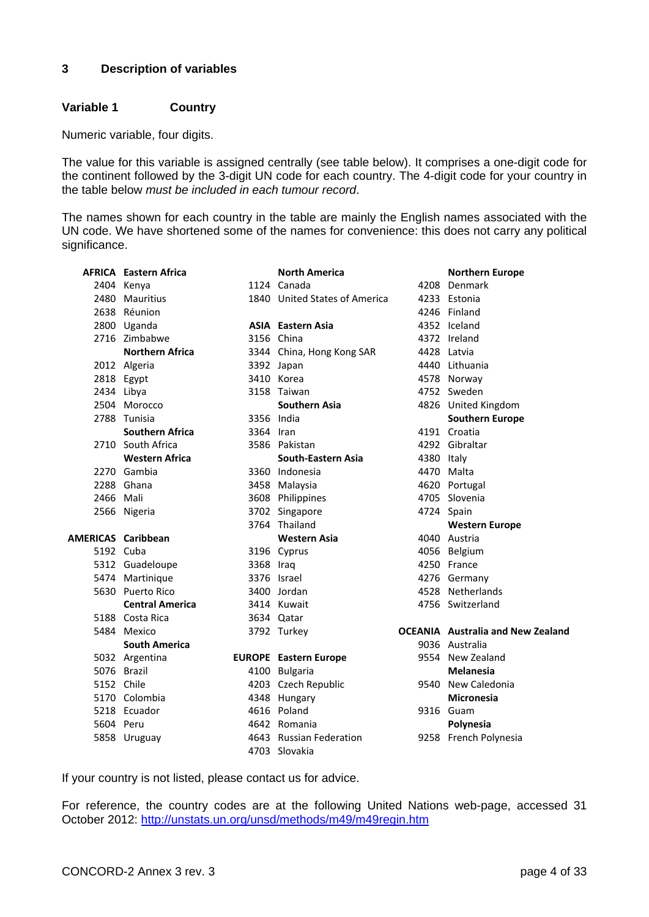## **3 Description of variables**

## **Variable 1 Country**

Numeric variable, four digits.

The value for this variable is assigned centrally (see table below). It comprises a one-digit code for the continent followed by the 3-digit UN code for each country. The 4-digit code for your country in the table below *must be included in each tumour record*.

The names shown for each country in the table are mainly the English names associated with the UN code. We have shortened some of the names for convenience: this does not carry any political significance.

|                           | <b>AFRICA</b> Eastern Africa |           | <b>North America</b>          |            | <b>Northern Europe</b>                   |
|---------------------------|------------------------------|-----------|-------------------------------|------------|------------------------------------------|
|                           | 2404 Kenya                   |           | 1124 Canada                   |            | 4208 Denmark                             |
|                           | 2480 Mauritius               |           | 1840 United States of America |            | 4233 Estonia                             |
|                           | 2638 Réunion                 |           |                               |            | 4246 Finland                             |
|                           | 2800 Uganda                  |           | <b>ASIA</b> Eastern Asia      |            | 4352 Iceland                             |
|                           | 2716 Zimbabwe                |           | 3156 China                    |            | 4372 Ireland                             |
|                           | <b>Northern Africa</b>       |           | 3344 China, Hong Kong SAR     |            | 4428 Latvia                              |
|                           | 2012 Algeria                 |           | 3392 Japan                    |            | 4440 Lithuania                           |
|                           | 2818 Egypt                   |           | 3410 Korea                    |            | 4578 Norway                              |
|                           | 2434 Libya                   |           | 3158 Taiwan                   |            | 4752 Sweden                              |
|                           | 2504 Morocco                 |           | <b>Southern Asia</b>          |            | 4826 United Kingdom                      |
|                           | 2788 Tunisia                 |           | 3356 India                    |            | <b>Southern Europe</b>                   |
|                           | <b>Southern Africa</b>       | 3364 Iran |                               |            | 4191 Croatia                             |
|                           | 2710 South Africa            |           | 3586 Pakistan                 |            | 4292 Gibraltar                           |
|                           | <b>Western Africa</b>        |           | <b>South-Eastern Asia</b>     | 4380 Italy |                                          |
|                           | 2270 Gambia                  |           | 3360 Indonesia                |            | 4470 Malta                               |
|                           | 2288 Ghana                   |           | 3458 Malaysia                 |            | 4620 Portugal                            |
| 2466 Mali                 |                              |           | 3608 Philippines              |            | 4705 Slovenia                            |
|                           | 2566 Nigeria                 |           | 3702 Singapore                |            | 4724 Spain                               |
|                           |                              |           | 3764 Thailand                 |            | <b>Western Europe</b>                    |
| <b>AMERICAS Caribbean</b> |                              |           | <b>Western Asia</b>           |            | 4040 Austria                             |
| 5192 Cuba                 |                              |           | 3196 Cyprus                   |            | 4056 Belgium                             |
|                           | 5312 Guadeloupe              | 3368 Iraq |                               |            | 4250 France                              |
|                           | 5474 Martinique              |           | 3376 Israel                   |            | 4276 Germany                             |
|                           | 5630 Puerto Rico             |           | 3400 Jordan                   |            | 4528 Netherlands                         |
|                           | <b>Central America</b>       |           | 3414 Kuwait                   |            | 4756 Switzerland                         |
|                           | 5188 Costa Rica              |           | 3634 Qatar                    |            |                                          |
|                           | 5484 Mexico                  |           | 3792 Turkey                   |            | <b>OCEANIA</b> Australia and New Zealand |
|                           | <b>South America</b>         |           |                               |            | 9036 Australia                           |
|                           | 5032 Argentina               |           | <b>EUROPE</b> Eastern Europe  |            | 9554 New Zealand                         |
|                           | 5076 Brazil                  |           | 4100 Bulgaria                 |            | <b>Melanesia</b>                         |
| 5152 Chile                |                              |           | 4203 Czech Republic           |            | 9540 New Caledonia                       |
|                           | 5170 Colombia                |           | 4348 Hungary                  |            | <b>Micronesia</b>                        |
|                           | 5218 Ecuador                 |           | 4616 Poland                   |            | 9316 Guam                                |
| 5604 Peru                 |                              |           | 4642 Romania                  |            | Polynesia                                |
|                           | 5858 Uruguay                 |           | 4643 Russian Federation       |            | 9258 French Polynesia                    |
|                           |                              |           | 4703 Slovakia                 |            |                                          |

If your country is not listed, please contact us for advice.

For reference, the country codes are at the following United Nations web-page, accessed 31 October 2012: http://unstats.un.org/unsd/methods/m49/m49regin.htm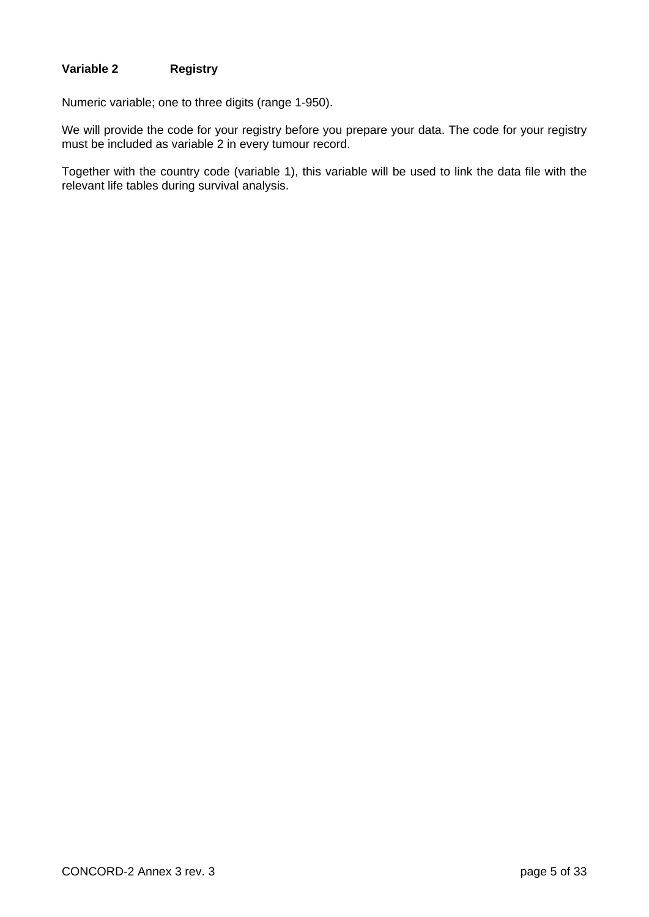# **Variable 2 Registry**

Numeric variable; one to three digits (range 1-950).

We will provide the code for your registry before you prepare your data. The code for your registry must be included as variable 2 in every tumour record.

Together with the country code (variable 1), this variable will be used to link the data file with the relevant life tables during survival analysis.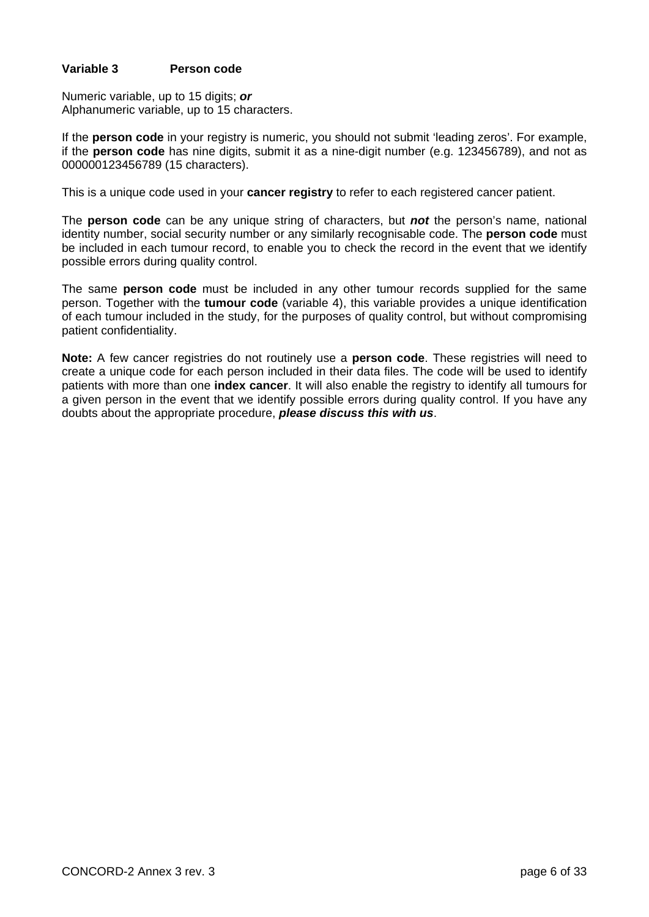## **Variable 3 Person code**

Numeric variable, up to 15 digits; *or* Alphanumeric variable, up to 15 characters.

If the **person code** in your registry is numeric, you should not submit 'leading zeros'. For example, if the **person code** has nine digits, submit it as a nine-digit number (e.g. 123456789), and not as 000000123456789 (15 characters).

This is a unique code used in your **cancer registry** to refer to each registered cancer patient.

The **person code** can be any unique string of characters, but *not* the person's name, national identity number, social security number or any similarly recognisable code. The **person code** must be included in each tumour record, to enable you to check the record in the event that we identify possible errors during quality control.

The same **person code** must be included in any other tumour records supplied for the same person. Together with the **tumour code** (variable 4), this variable provides a unique identification of each tumour included in the study, for the purposes of quality control, but without compromising patient confidentiality.

**Note:** A few cancer registries do not routinely use a **person code**. These registries will need to create a unique code for each person included in their data files. The code will be used to identify patients with more than one **index cancer**. It will also enable the registry to identify all tumours for a given person in the event that we identify possible errors during quality control. If you have any doubts about the appropriate procedure, *please discuss this with us*.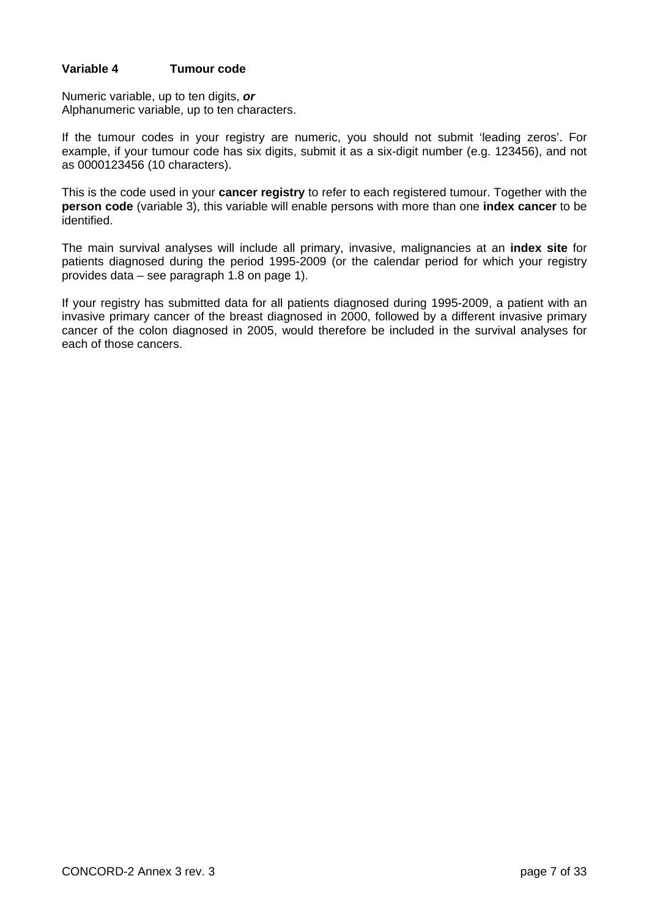## **Variable 4 Tumour code**

Numeric variable, up to ten digits, *or* Alphanumeric variable, up to ten characters.

If the tumour codes in your registry are numeric, you should not submit 'leading zeros'. For example, if your tumour code has six digits, submit it as a six-digit number (e.g. 123456), and not as 0000123456 (10 characters).

This is the code used in your **cancer registry** to refer to each registered tumour. Together with the **person code** (variable 3), this variable will enable persons with more than one **index cancer** to be identified.

The main survival analyses will include all primary, invasive, malignancies at an **index site** for patients diagnosed during the period 1995-2009 (or the calendar period for which your registry provides data – see paragraph 1.8 on page 1).

If your registry has submitted data for all patients diagnosed during 1995-2009, a patient with an invasive primary cancer of the breast diagnosed in 2000, followed by a different invasive primary cancer of the colon diagnosed in 2005, would therefore be included in the survival analyses for each of those cancers.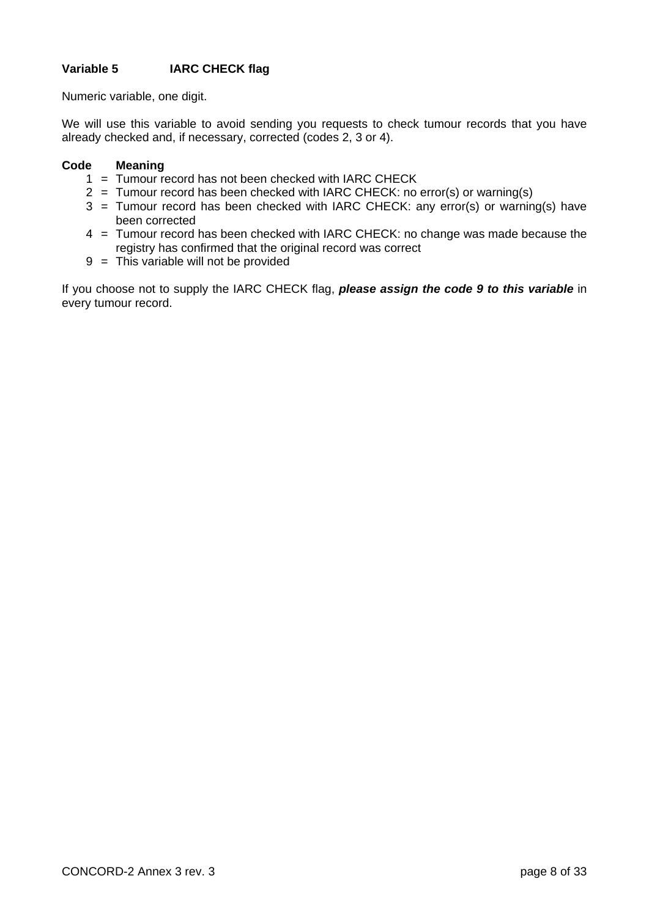# **Variable 5 IARC CHECK flag**

Numeric variable, one digit.

We will use this variable to avoid sending you requests to check tumour records that you have already checked and, if necessary, corrected (codes 2, 3 or 4).

## **Code Meaning**

- 1 = Tumour record has not been checked with IARC CHECK
- 2 = Tumour record has been checked with IARC CHECK: no error(s) or warning(s)
- 3 = Tumour record has been checked with IARC CHECK: any error(s) or warning(s) have been corrected
- 4 = Tumour record has been checked with IARC CHECK: no change was made because the registry has confirmed that the original record was correct
- 9 = This variable will not be provided

If you choose not to supply the IARC CHECK flag, *please assign the code 9 to this variable* in every tumour record.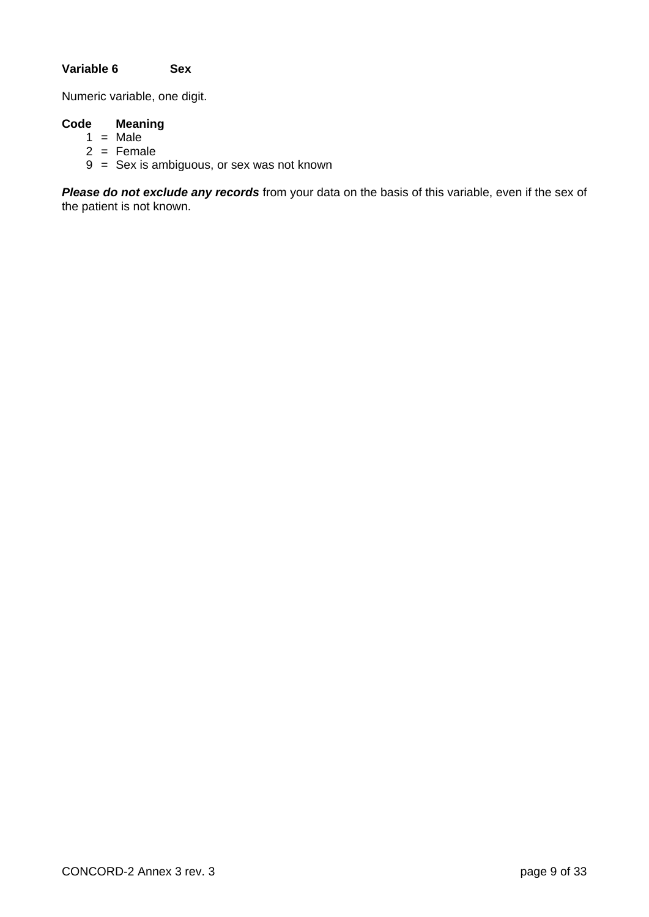# **Variable 6 Sex**

Numeric variable, one digit.

# **Code Meaning**

- $1 = Male$
- $2 =$ Female
- 9 = Sex is ambiguous, or sex was not known

*Please do not exclude any records* from your data on the basis of this variable, even if the sex of the patient is not known.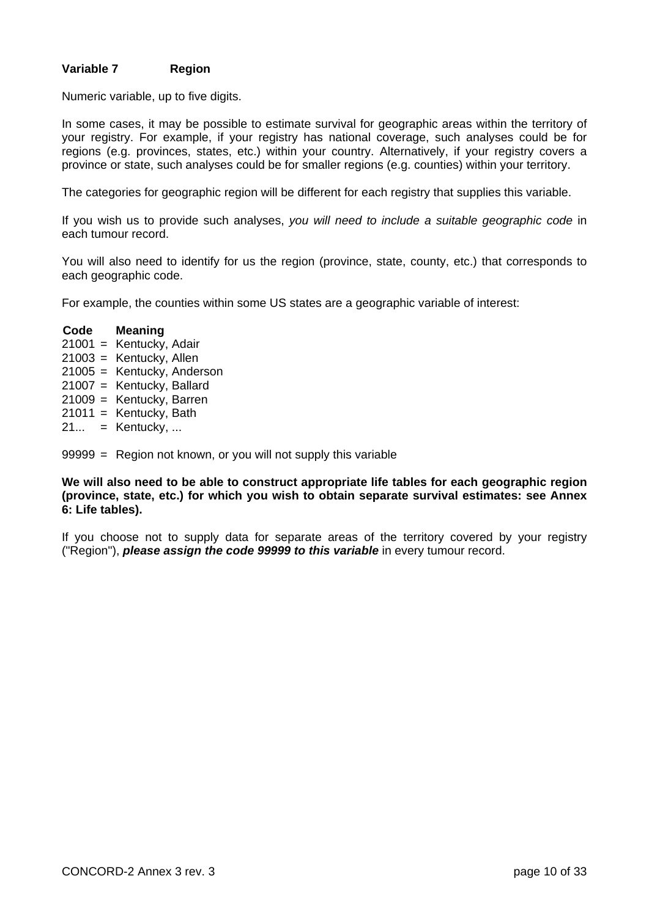## **Variable 7 Region**

Numeric variable, up to five digits.

In some cases, it may be possible to estimate survival for geographic areas within the territory of your registry. For example, if your registry has national coverage, such analyses could be for regions (e.g. provinces, states, etc.) within your country. Alternatively, if your registry covers a province or state, such analyses could be for smaller regions (e.g. counties) within your territory.

The categories for geographic region will be different for each registry that supplies this variable.

If you wish us to provide such analyses, *you will need to include a suitable geographic code* in each tumour record.

You will also need to identify for us the region (province, state, county, etc.) that corresponds to each geographic code.

For example, the counties within some US states are a geographic variable of interest:

 **Code Meaning**  21001 = Kentucky, Adair 21003 = Kentucky, Allen 21005 = Kentucky, Anderson 21007 = Kentucky, Ballard 21009 = Kentucky, Barren  $21011 =$  Kentucky, Bath  $21... =$  Kentucky, ...

99999 = Region not known, or you will not supply this variable

**We will also need to be able to construct appropriate life tables for each geographic region (province, state, etc.) for which you wish to obtain separate survival estimates: see Annex 6: Life tables).** 

If you choose not to supply data for separate areas of the territory covered by your registry ("Region"), *please assign the code 99999 to this variable* in every tumour record.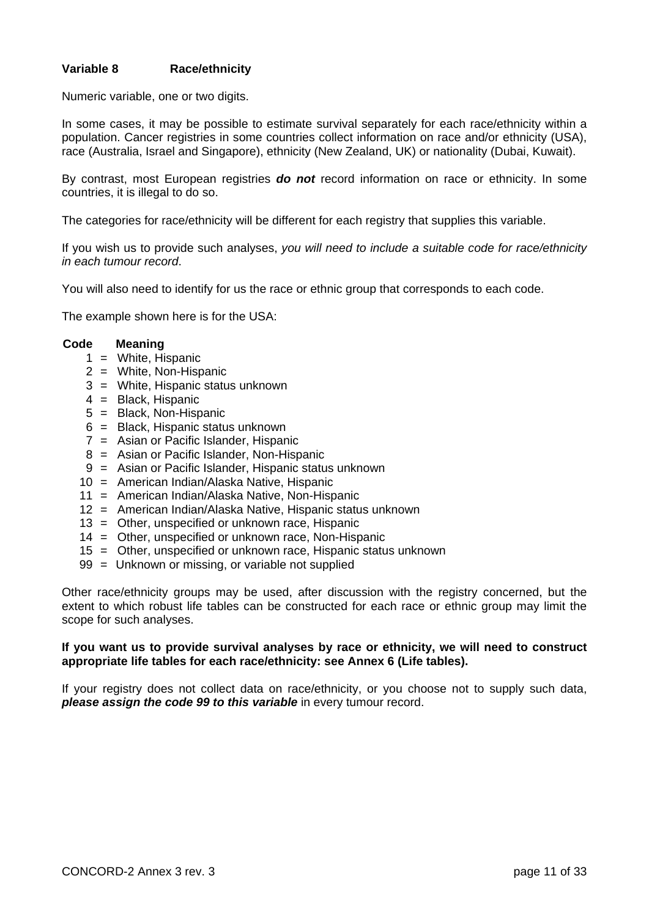## **Variable 8 Race/ethnicity**

Numeric variable, one or two digits.

In some cases, it may be possible to estimate survival separately for each race/ethnicity within a population. Cancer registries in some countries collect information on race and/or ethnicity (USA), race (Australia, Israel and Singapore), ethnicity (New Zealand, UK) or nationality (Dubai, Kuwait).

By contrast, most European registries *do not* record information on race or ethnicity. In some countries, it is illegal to do so.

The categories for race/ethnicity will be different for each registry that supplies this variable.

If you wish us to provide such analyses, *you will need to include a suitable code for race/ethnicity in each tumour record*.

You will also need to identify for us the race or ethnic group that corresponds to each code.

The example shown here is for the USA:

### **Code Meaning**

- 1 = White, Hispanic
- 2 = White, Non-Hispanic
- 3 = White, Hispanic status unknown
- 4 = Black, Hispanic
- 5 = Black, Non-Hispanic
- 6 = Black, Hispanic status unknown
- 7 = Asian or Pacific Islander, Hispanic
- 8 = Asian or Pacific Islander, Non-Hispanic
- 9 = Asian or Pacific Islander, Hispanic status unknown
- 10 = American Indian/Alaska Native, Hispanic
- 11 = American Indian/Alaska Native, Non-Hispanic
- 12 = American Indian/Alaska Native, Hispanic status unknown
- 13 = Other, unspecified or unknown race, Hispanic
- 14 = Other, unspecified or unknown race, Non-Hispanic
- 15 = Other, unspecified or unknown race, Hispanic status unknown
- 99 = Unknown or missing, or variable not supplied

Other race/ethnicity groups may be used, after discussion with the registry concerned, but the extent to which robust life tables can be constructed for each race or ethnic group may limit the scope for such analyses.

### **If you want us to provide survival analyses by race or ethnicity, we will need to construct appropriate life tables for each race/ethnicity: see Annex 6 (Life tables).**

If your registry does not collect data on race/ethnicity, or you choose not to supply such data, *please assign the code 99 to this variable* in every tumour record.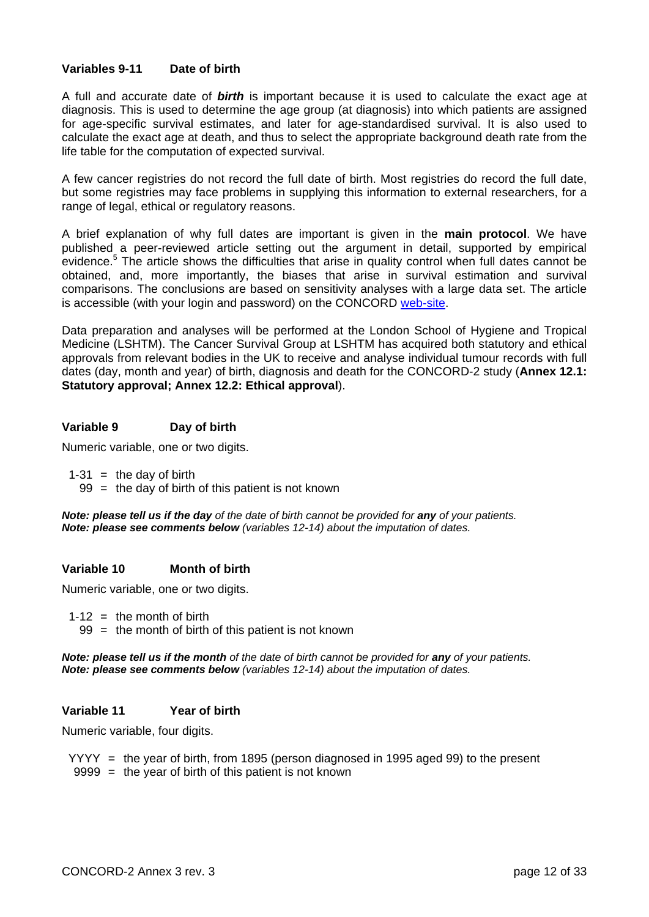## **Variables 9-11 Date of birth**

A full and accurate date of *birth* is important because it is used to calculate the exact age at diagnosis. This is used to determine the age group (at diagnosis) into which patients are assigned for age-specific survival estimates, and later for age-standardised survival. It is also used to calculate the exact age at death, and thus to select the appropriate background death rate from the life table for the computation of expected survival.

A few cancer registries do not record the full date of birth. Most registries do record the full date, but some registries may face problems in supplying this information to external researchers, for a range of legal, ethical or regulatory reasons.

A brief explanation of why full dates are important is given in the **main protocol**. We have published a peer-reviewed article setting out the argument in detail, supported by empirical evidence.<sup>5</sup> The article shows the difficulties that arise in quality control when full dates cannot be obtained, and, more importantly, the biases that arise in survival estimation and survival comparisons. The conclusions are based on sensitivity analyses with a large data set. The article is accessible (with your login and password) on the CONCORD web-site.

Data preparation and analyses will be performed at the London School of Hygiene and Tropical Medicine (LSHTM). The Cancer Survival Group at LSHTM has acquired both statutory and ethical approvals from relevant bodies in the UK to receive and analyse individual tumour records with full dates (day, month and year) of birth, diagnosis and death for the CONCORD-2 study (**Annex 12.1: Statutory approval; Annex 12.2: Ethical approval**).

## **Variable 9 Day of birth**

Numeric variable, one or two digits.

- $1-31$  = the day of birth
	- $99 =$  the day of birth of this patient is not known

*Note: please tell us if the day of the date of birth cannot be provided for any of your patients. Note: please see comments below (variables 12-14) about the imputation of dates.*

## **Variable 10 Month of birth**

Numeric variable, one or two digits.

 $1-12 =$  the month of birth

 $99 =$  the month of birth of this patient is not known

*Note: please tell us if the month of the date of birth cannot be provided for any of your patients. Note: please see comments below (variables 12-14) about the imputation of dates.*

## **Variable 11 Year of birth**

Numeric variable, four digits.

 YYYY = the year of birth, from 1895 (person diagnosed in 1995 aged 99) to the present  $9999 =$  the year of birth of this patient is not known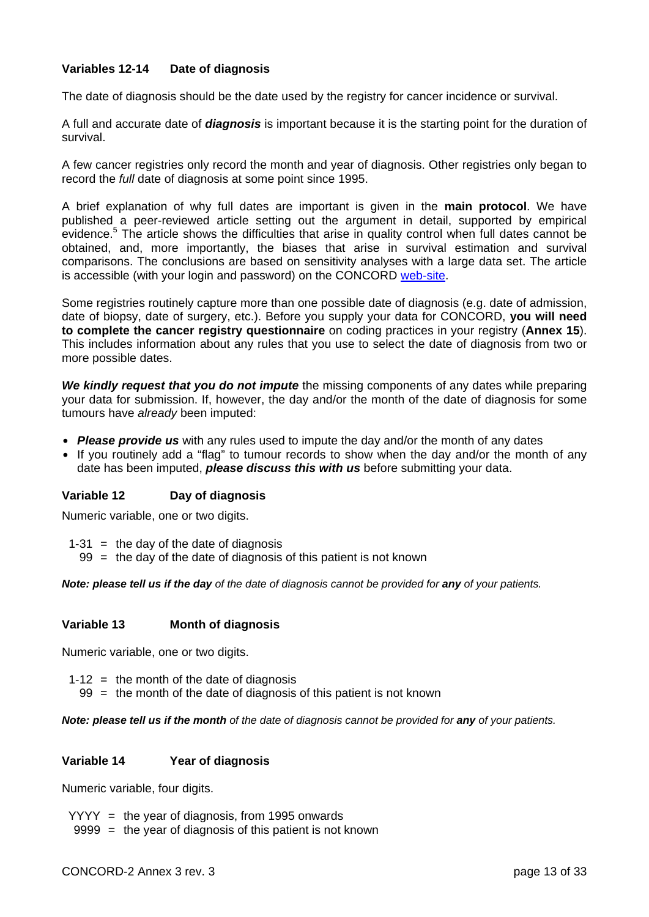## **Variables 12-14 Date of diagnosis**

The date of diagnosis should be the date used by the registry for cancer incidence or survival.

A full and accurate date of *diagnosis* is important because it is the starting point for the duration of survival.

A few cancer registries only record the month and year of diagnosis. Other registries only began to record the *full* date of diagnosis at some point since 1995.

A brief explanation of why full dates are important is given in the **main protocol**. We have published a peer-reviewed article setting out the argument in detail, supported by empirical evidence.<sup>5</sup> The article shows the difficulties that arise in quality control when full dates cannot be obtained, and, more importantly, the biases that arise in survival estimation and survival comparisons. The conclusions are based on sensitivity analyses with a large data set. The article is accessible (with your login and password) on the CONCORD web-site.

Some registries routinely capture more than one possible date of diagnosis (e.g. date of admission, date of biopsy, date of surgery, etc.). Before you supply your data for CONCORD, **you will need to complete the cancer registry questionnaire** on coding practices in your registry (**Annex 15**). This includes information about any rules that you use to select the date of diagnosis from two or more possible dates.

*We kindly request that you do not impute* the missing components of any dates while preparing your data for submission. If, however, the day and/or the month of the date of diagnosis for some tumours have *already* been imputed:

- *Please provide us* with any rules used to impute the day and/or the month of any dates
- If you routinely add a "flag" to tumour records to show when the day and/or the month of any date has been imputed, *please discuss this with us* before submitting your data.

## **Variable 12 Day of diagnosis**

Numeric variable, one or two digits.

- $1-31$  = the day of the date of diagnosis
	- $99 =$  the day of the date of diagnosis of this patient is not known

*Note: please tell us if the day of the date of diagnosis cannot be provided for any of your patients.* 

## **Variable 13 Month of diagnosis**

Numeric variable, one or two digits.

- $1-12$  = the month of the date of diagnosis
	- $99 =$  the month of the date of diagnosis of this patient is not known

*Note: please tell us if the month* of the date of diagnosis cannot be provided for any of your patients.

## **Variable 14 Year of diagnosis**

Numeric variable, four digits.

YYYY = the year of diagnosis, from 1995 onwards

9999 = the year of diagnosis of this patient is not known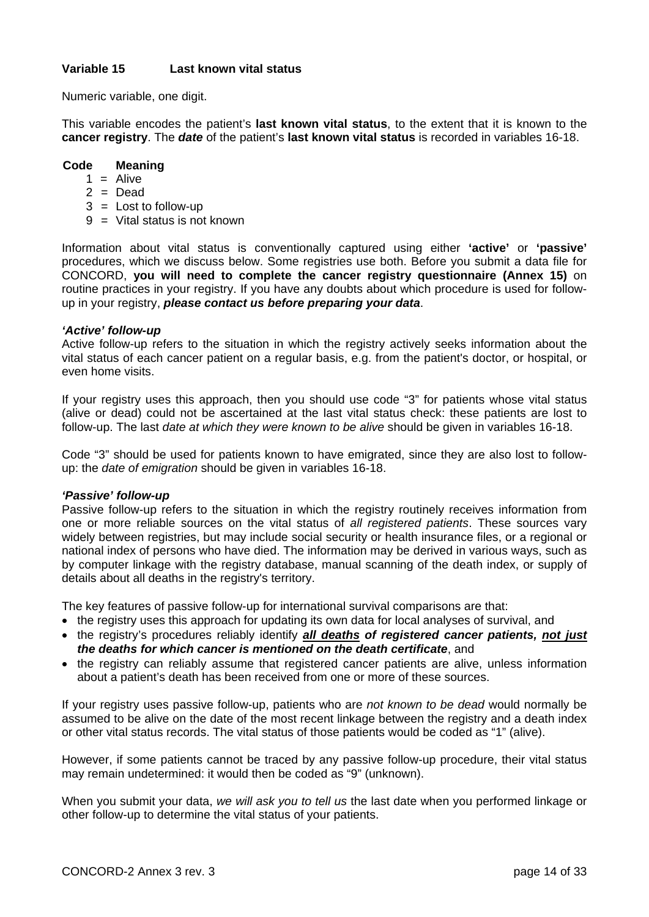## **Variable 15 Last known vital status**

Numeric variable, one digit.

This variable encodes the patient's **last known vital status**, to the extent that it is known to the **cancer registry**. The *date* of the patient's **last known vital status** is recorded in variables 16-18.

## **Code Meaning**

- $1 =$  Alive
- $2 = Dead$
- $3 =$  Lost to follow-up
- $9 =$  Vital status is not known

Information about vital status is conventionally captured using either **'active'** or **'passive'** procedures, which we discuss below. Some registries use both. Before you submit a data file for CONCORD, **you will need to complete the cancer registry questionnaire (Annex 15)** on routine practices in your registry. If you have any doubts about which procedure is used for followup in your registry, *please contact us before preparing your data*.

### *'Active' follow-up*

Active follow-up refers to the situation in which the registry actively seeks information about the vital status of each cancer patient on a regular basis, e.g. from the patient's doctor, or hospital, or even home visits.

If your registry uses this approach, then you should use code "3" for patients whose vital status (alive or dead) could not be ascertained at the last vital status check: these patients are lost to follow-up. The last *date at which they were known to be alive* should be given in variables 16-18.

Code "3" should be used for patients known to have emigrated, since they are also lost to followup: the *date of emigration* should be given in variables 16-18.

### *'Passive' follow-up*

Passive follow-up refers to the situation in which the registry routinely receives information from one or more reliable sources on the vital status of *all registered patients*. These sources vary widely between registries, but may include social security or health insurance files, or a regional or national index of persons who have died. The information may be derived in various ways, such as by computer linkage with the registry database, manual scanning of the death index, or supply of details about all deaths in the registry's territory.

The key features of passive follow-up for international survival comparisons are that:

- the registry uses this approach for updating its own data for local analyses of survival, and
- the registry's procedures reliably identify *all deaths of registered cancer patients, not just the deaths for which cancer is mentioned on the death certificate*, and
- the registry can reliably assume that registered cancer patients are alive, unless information about a patient's death has been received from one or more of these sources.

If your registry uses passive follow-up, patients who are *not known to be dead* would normally be assumed to be alive on the date of the most recent linkage between the registry and a death index or other vital status records. The vital status of those patients would be coded as "1" (alive).

However, if some patients cannot be traced by any passive follow-up procedure, their vital status may remain undetermined: it would then be coded as "9" (unknown).

When you submit your data, *we will ask you to tell us* the last date when you performed linkage or other follow-up to determine the vital status of your patients.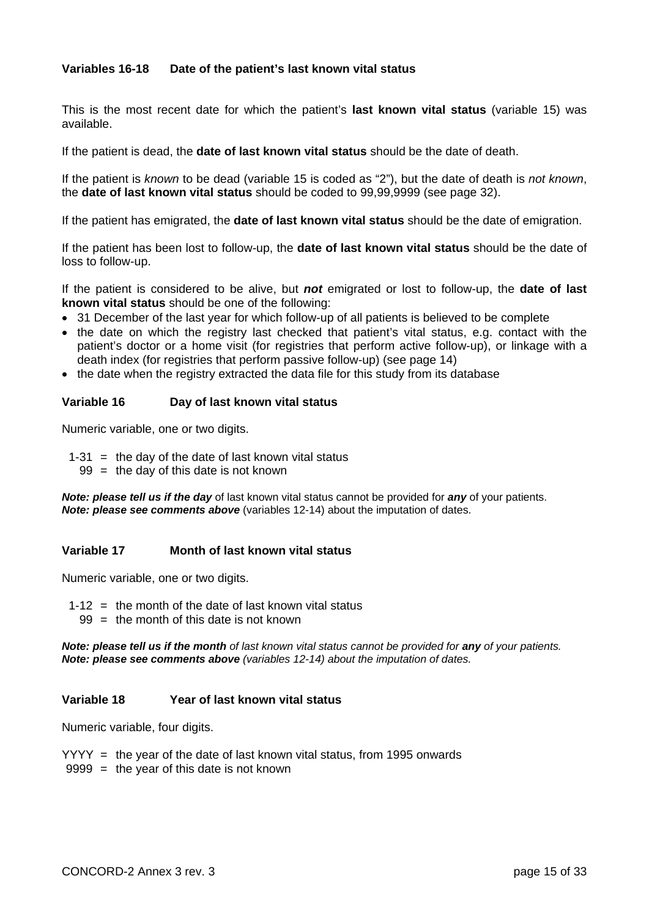## **Variables 16-18 Date of the patient's last known vital status**

This is the most recent date for which the patient's **last known vital status** (variable 15) was available.

If the patient is dead, the **date of last known vital status** should be the date of death.

If the patient is *known* to be dead (variable 15 is coded as "2"), but the date of death is *not known*, the **date of last known vital status** should be coded to 99,99,9999 (see page 32).

If the patient has emigrated, the **date of last known vital status** should be the date of emigration.

If the patient has been lost to follow-up, the **date of last known vital status** should be the date of loss to follow-up.

If the patient is considered to be alive, but *not* emigrated or lost to follow-up, the **date of last known vital status** should be one of the following:

- 31 December of the last year for which follow-up of all patients is believed to be complete
- the date on which the registry last checked that patient's vital status, e.g. contact with the patient's doctor or a home visit (for registries that perform active follow-up), or linkage with a death index (for registries that perform passive follow-up) (see page 14)
- the date when the registry extracted the data file for this study from its database

### **Variable 16 Day of last known vital status**

Numeric variable, one or two digits.

 $1-31$  = the day of the date of last known vital status

 $99 =$  the day of this date is not known

*Note: please tell us if the day* of last known vital status cannot be provided for *any* of your patients. *Note: please see comments above* (variables 12-14) about the imputation of dates.

### **Variable 17 Month of last known vital status**

Numeric variable, one or two digits.

- 1-12  $\equiv$  the month of the date of last known vital status
- $99 =$  the month of this date is not known

*Note: please tell us if the month* of last known vital status cannot be provided for any of your patients. *Note: please see comments above (variables 12-14) about the imputation of dates.*

### **Variable 18 Year of last known vital status**

Numeric variable, four digits.

YYYY = the year of the date of last known vital status, from 1995 onwards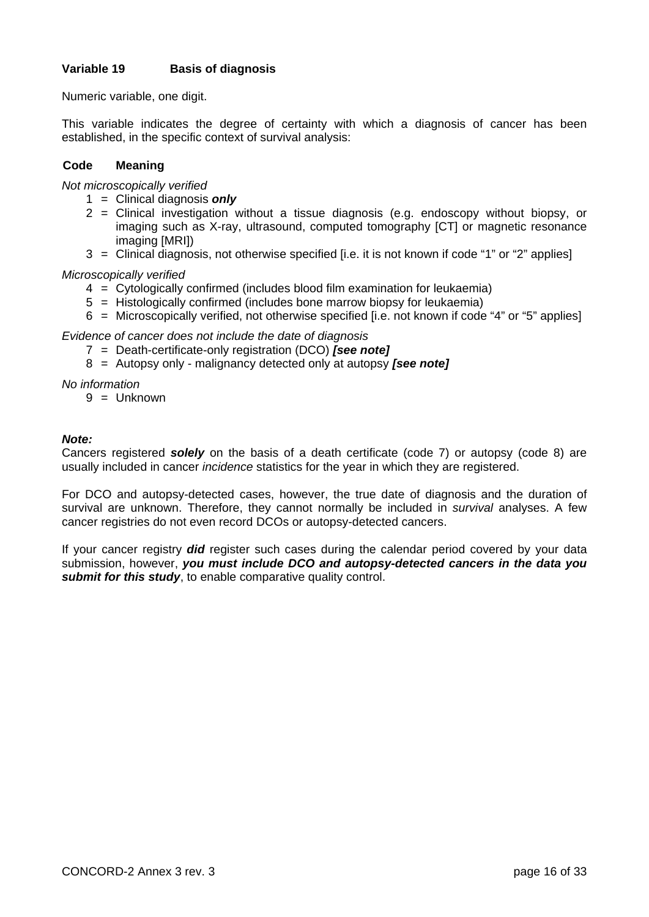## **Variable 19 Basis of diagnosis**

Numeric variable, one digit.

This variable indicates the degree of certainty with which a diagnosis of cancer has been established, in the specific context of survival analysis:

## **Code Meaning**

*Not microscopically verified* 

- 1 = Clinical diagnosis *only*
- 2 = Clinical investigation without a tissue diagnosis (e.g. endoscopy without biopsy, or imaging such as X-ray, ultrasound, computed tomography [CT] or magnetic resonance imaging [MRI])
- 3 = Clinical diagnosis, not otherwise specified [i.e. it is not known if code "1" or "2" applies]

*Microscopically verified* 

- 4 = Cytologically confirmed (includes blood film examination for leukaemia)
- 5 = Histologically confirmed (includes bone marrow biopsy for leukaemia)
- 6 = Microscopically verified, not otherwise specified [i.e. not known if code "4" or "5" applies]

*Evidence of cancer does not include the date of diagnosis* 

- 7 = Death-certificate-only registration (DCO) *[see note]*
- 8 = Autopsy only malignancy detected only at autopsy *[see note]*

*No information* 

 $9 =$  Unknown

### *Note:*

Cancers registered *solely* on the basis of a death certificate (code 7) or autopsy (code 8) are usually included in cancer *incidence* statistics for the year in which they are registered.

For DCO and autopsy-detected cases, however, the true date of diagnosis and the duration of survival are unknown. Therefore, they cannot normally be included in *survival* analyses. A few cancer registries do not even record DCOs or autopsy-detected cancers.

If your cancer registry *did* register such cases during the calendar period covered by your data submission, however, *you must include DCO and autopsy-detected cancers in the data you*  **submit for this study**, to enable comparative quality control.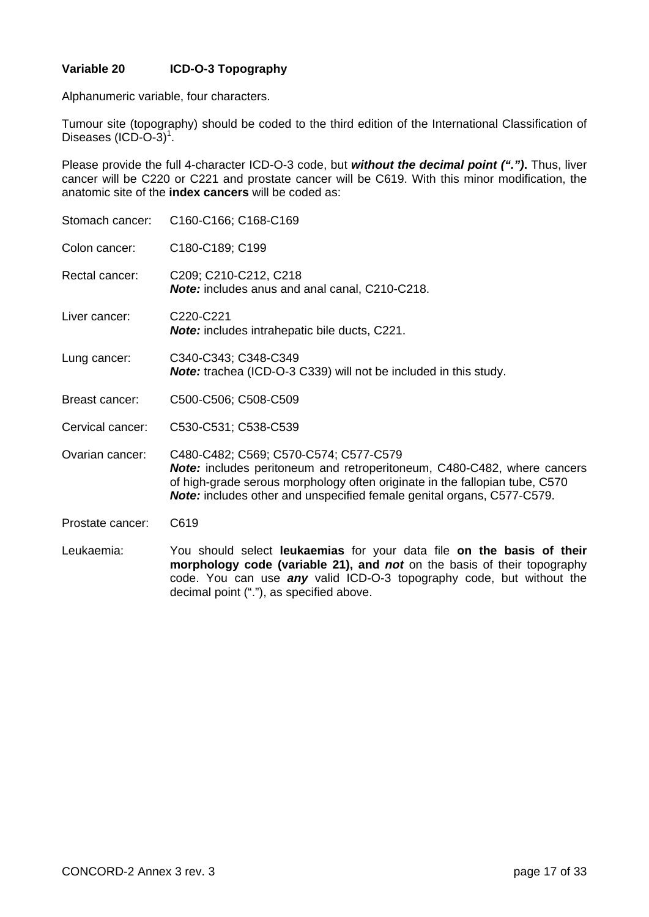## **Variable 20 ICD-O-3 Topography**

Alphanumeric variable, four characters.

Tumour site (topography) should be coded to the third edition of the International Classification of Diseases  $(ICD-O-3)^1$ .

Please provide the full 4-character ICD-O-3 code, but *without the decimal point (".")***.** Thus, liver cancer will be C220 or C221 and prostate cancer will be C619. With this minor modification, the anatomic site of the **index cancers** will be coded as:

| Stomach cancer:  | C160-C166; C168-C169                                                                                                                                                                                                                                                             |
|------------------|----------------------------------------------------------------------------------------------------------------------------------------------------------------------------------------------------------------------------------------------------------------------------------|
| Colon cancer:    | C180-C189; C199                                                                                                                                                                                                                                                                  |
| Rectal cancer:   | C209; C210-C212, C218<br>Note: includes anus and anal canal, C210-C218.                                                                                                                                                                                                          |
| Liver cancer:    | C220-C221<br><b>Note:</b> includes intrahepatic bile ducts, C221.                                                                                                                                                                                                                |
| Lung cancer:     | C340-C343; C348-C349<br><b>Note:</b> trachea (ICD-O-3 C339) will not be included in this study.                                                                                                                                                                                  |
| Breast cancer:   | C500-C506; C508-C509                                                                                                                                                                                                                                                             |
| Cervical cancer: | C530-C531; C538-C539                                                                                                                                                                                                                                                             |
| Ovarian cancer:  | C480-C482; C569; C570-C574; C577-C579<br>Note: includes peritoneum and retroperitoneum, C480-C482, where cancers<br>of high-grade serous morphology often originate in the fallopian tube, C570<br><b>Note:</b> includes other and unspecified female genital organs, C577-C579. |
| Prostate cancer: | C619                                                                                                                                                                                                                                                                             |
| Leukaemia:       | You should select leukaemias for your data file on the basis of their<br>morphology code (variable 21), and not on the basis of their topography<br>code. You can use any valid ICD-O-3 topography code, but without the<br>decimal point ("."), as specified above.             |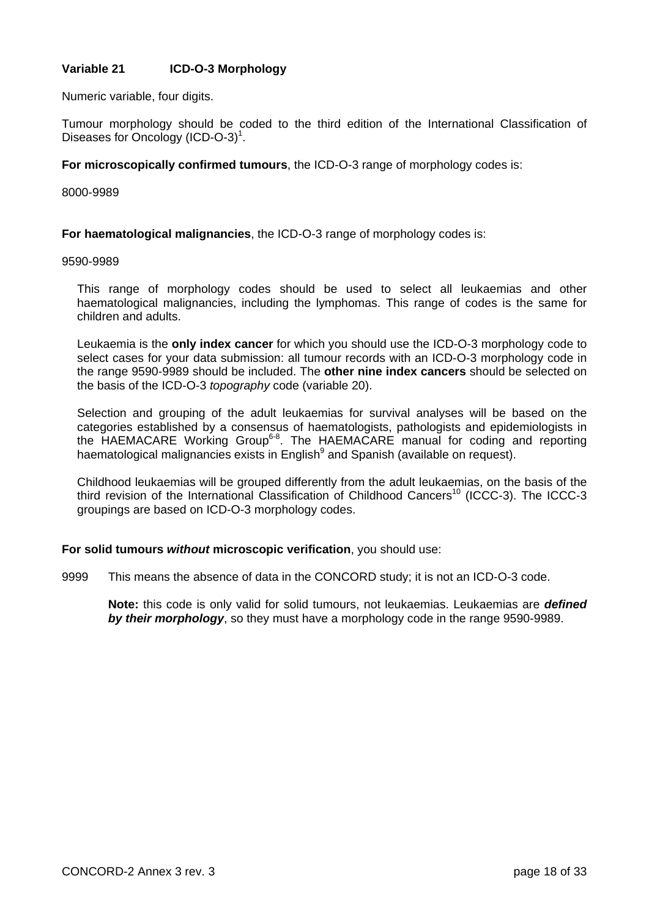## **Variable 21 ICD-O-3 Morphology**

Numeric variable, four digits.

Tumour morphology should be coded to the third edition of the International Classification of Diseases for Oncology (ICD-O-3)<sup>1</sup>.

**For microscopically confirmed tumours**, the ICD-O-3 range of morphology codes is:

### 8000-9989

**For haematological malignancies**, the ICD-O-3 range of morphology codes is:

#### 9590-9989

This range of morphology codes should be used to select all leukaemias and other haematological malignancies, including the lymphomas. This range of codes is the same for children and adults.

Leukaemia is the **only index cancer** for which you should use the ICD-O-3 morphology code to select cases for your data submission: all tumour records with an ICD-O-3 morphology code in the range 9590-9989 should be included. The **other nine index cancers** should be selected on the basis of the ICD-O-3 *topography* code (variable 20).

Selection and grouping of the adult leukaemias for survival analyses will be based on the categories established by a consensus of haematologists, pathologists and epidemiologists in the HAEMACARE Working Group6-8. The HAEMACARE manual for coding and reporting haematological malignancies exists in English<sup>9</sup> and Spanish (available on request).

Childhood leukaemias will be grouped differently from the adult leukaemias, on the basis of the third revision of the International Classification of Childhood Cancers<sup>10</sup> (ICCC-3). The ICCC-3 groupings are based on ICD-O-3 morphology codes.

### **For solid tumours** *without* **microscopic verification**, you should use:

9999 This means the absence of data in the CONCORD study; it is not an ICD-O-3 code.

**Note:** this code is only valid for solid tumours, not leukaemias. Leukaemias are *defined by their morphology*, so they must have a morphology code in the range 9590-9989.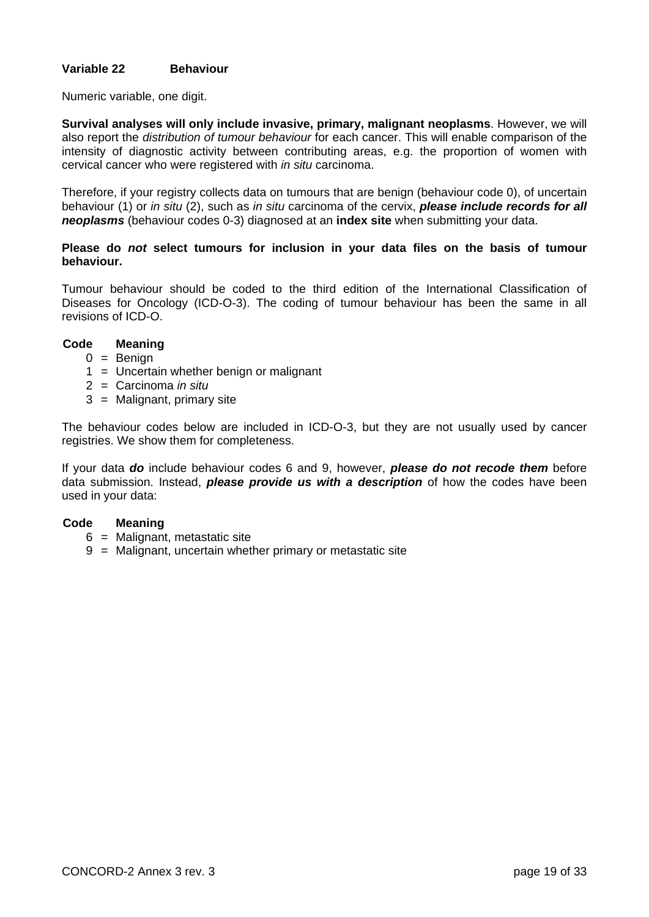## **Variable 22 Behaviour**

Numeric variable, one digit.

**Survival analyses will only include invasive, primary, malignant neoplasms**. However, we will also report the *distribution of tumour behaviour* for each cancer. This will enable comparison of the intensity of diagnostic activity between contributing areas, e.g. the proportion of women with cervical cancer who were registered with *in situ* carcinoma.

Therefore, if your registry collects data on tumours that are benign (behaviour code 0), of uncertain behaviour (1) or *in situ* (2), such as *in situ* carcinoma of the cervix, *please include records for all neoplasms* (behaviour codes 0-3) diagnosed at an **index site** when submitting your data.

### **Please do** *not* **select tumours for inclusion in your data files on the basis of tumour behaviour.**

Tumour behaviour should be coded to the third edition of the International Classification of Diseases for Oncology (ICD-O-3). The coding of tumour behaviour has been the same in all revisions of ICD-O.

## **Code Meaning**

- $0 =$ Benign
- 1 = Uncertain whether benign or malignant
- 2 = Carcinoma *in situ*
- 3 = Malignant, primary site

The behaviour codes below are included in ICD-O-3, but they are not usually used by cancer registries. We show them for completeness.

If your data *do* include behaviour codes 6 and 9, however, *please do not recode them* before data submission. Instead, *please provide us with a description* of how the codes have been used in your data:

- 6 = Malignant, metastatic site
- 9 = Malignant, uncertain whether primary or metastatic site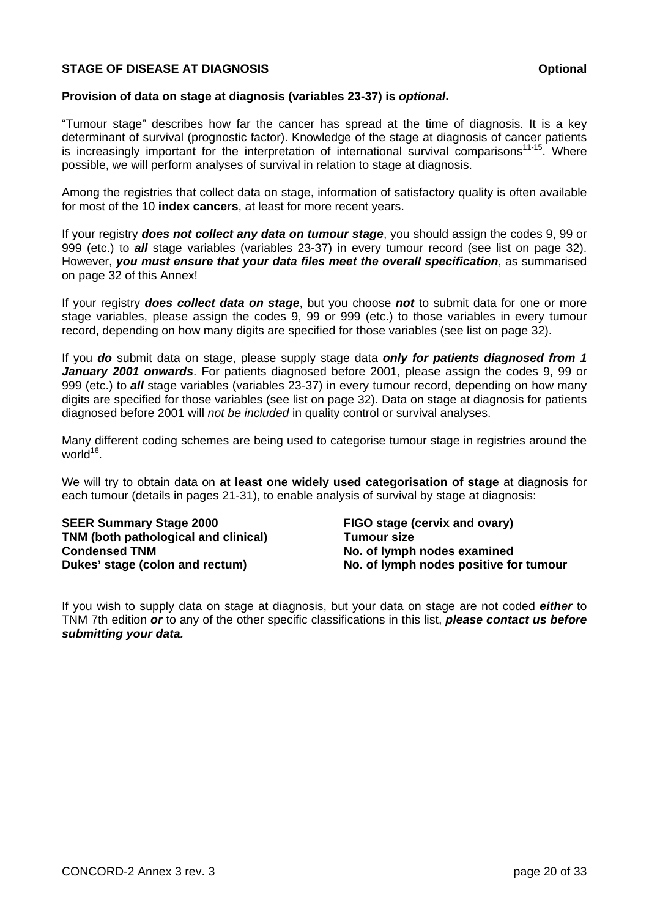## **STAGE OF DISEASE AT DIAGNOSIS CONSUMING A STAGE OF DISEASE AT DIAGNOSIS**

## **Provision of data on stage at diagnosis (variables 23-37) is** *optional***.**

"Tumour stage" describes how far the cancer has spread at the time of diagnosis. It is a key determinant of survival (prognostic factor). Knowledge of the stage at diagnosis of cancer patients is increasingly important for the interpretation of international survival comparisons<sup>11-15</sup>. Where possible, we will perform analyses of survival in relation to stage at diagnosis.

Among the registries that collect data on stage, information of satisfactory quality is often available for most of the 10 **index cancers**, at least for more recent years.

If your registry *does not collect any data on tumour stage*, you should assign the codes 9, 99 or 999 (etc.) to *all* stage variables (variables 23-37) in every tumour record (see list on page 32). However, *you must ensure that your data files meet the overall specification*, as summarised on page 32 of this Annex!

If your registry *does collect data on stage*, but you choose *not* to submit data for one or more stage variables, please assign the codes 9, 99 or 999 (etc.) to those variables in every tumour record, depending on how many digits are specified for those variables (see list on page 32).

If you *do* submit data on stage, please supply stage data *only for patients diagnosed from 1 January 2001 onwards*. For patients diagnosed before 2001, please assign the codes 9, 99 or 999 (etc.) to *all* stage variables (variables 23-37) in every tumour record, depending on how many digits are specified for those variables (see list on page 32). Data on stage at diagnosis for patients diagnosed before 2001 will *not be included* in quality control or survival analyses.

Many different coding schemes are being used to categorise tumour stage in registries around the world $16$ .

We will try to obtain data on **at least one widely used categorisation of stage** at diagnosis for each tumour (details in pages 21-31), to enable analysis of survival by stage at diagnosis:

**SEER Summary Stage 2000 TNM (both pathological and clinical) Condensed TNM Dukes' stage (colon and rectum)** 

**FIGO stage (cervix and ovary) Tumour size No. of lymph nodes examined No. of lymph nodes positive for tumour** 

If you wish to supply data on stage at diagnosis, but your data on stage are not coded *either* to TNM 7th edition *or* to any of the other specific classifications in this list, *please contact us before submitting your data.*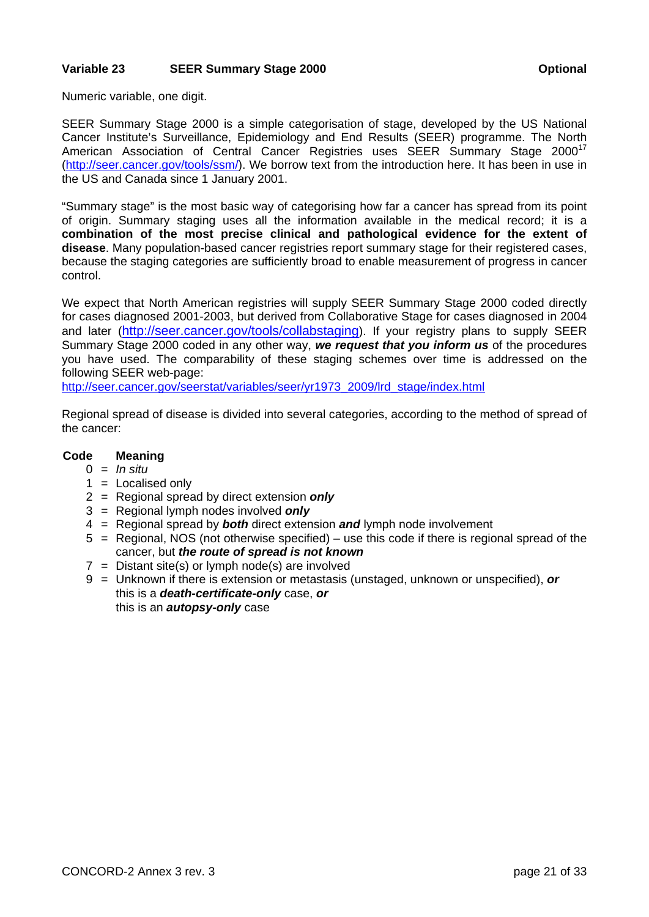## **Variable 23 SEER Summary Stage 2000 Care and American Continual Continual Continual Continual Continual Continual Continual Continual Continual Continual Continual Continual Continual Continual Continual Continual Continu**

Numeric variable, one digit.

SEER Summary Stage 2000 is a simple categorisation of stage, developed by the US National Cancer Institute's Surveillance, Epidemiology and End Results (SEER) programme. The North American Association of Central Cancer Registries uses SEER Summary Stage 2000<sup>17</sup> (http://seer.cancer.gov/tools/ssm/). We borrow text from the introduction here. It has been in use in the US and Canada since 1 January 2001.

"Summary stage" is the most basic way of categorising how far a cancer has spread from its point of origin. Summary staging uses all the information available in the medical record; it is a **combination of the most precise clinical and pathological evidence for the extent of disease**. Many population-based cancer registries report summary stage for their registered cases, because the staging categories are sufficiently broad to enable measurement of progress in cancer control.

We expect that North American registries will supply SEER Summary Stage 2000 coded directly for cases diagnosed 2001-2003, but derived from Collaborative Stage for cases diagnosed in 2004 and later (http://seer.cancer.gov/tools/collabstaging). If your registry plans to supply SEER Summary Stage 2000 coded in any other way, *we request that you inform us* of the procedures you have used. The comparability of these staging schemes over time is addressed on the following SEER web-page:

http://seer.cancer.gov/seerstat/variables/seer/yr1973\_2009/lrd\_stage/index.html

Regional spread of disease is divided into several categories, according to the method of spread of the cancer:

- 0 = *In situ*
- $1 =$  Localised only
- 2 = Regional spread by direct extension *only*
- 3 = Regional lymph nodes involved *only*
- 4 = Regional spread by *both* direct extension *and* lymph node involvement
- 5 = Regional, NOS (not otherwise specified) use this code if there is regional spread of the cancer, but *the route of spread is not known*
- $7 =$  Distant site(s) or lymph node(s) are involved
- 9 = Unknown if there is extension or metastasis (unstaged, unknown or unspecified), *or* this is a *death-certificate-only* case, *or*  this is an *autopsy-only* case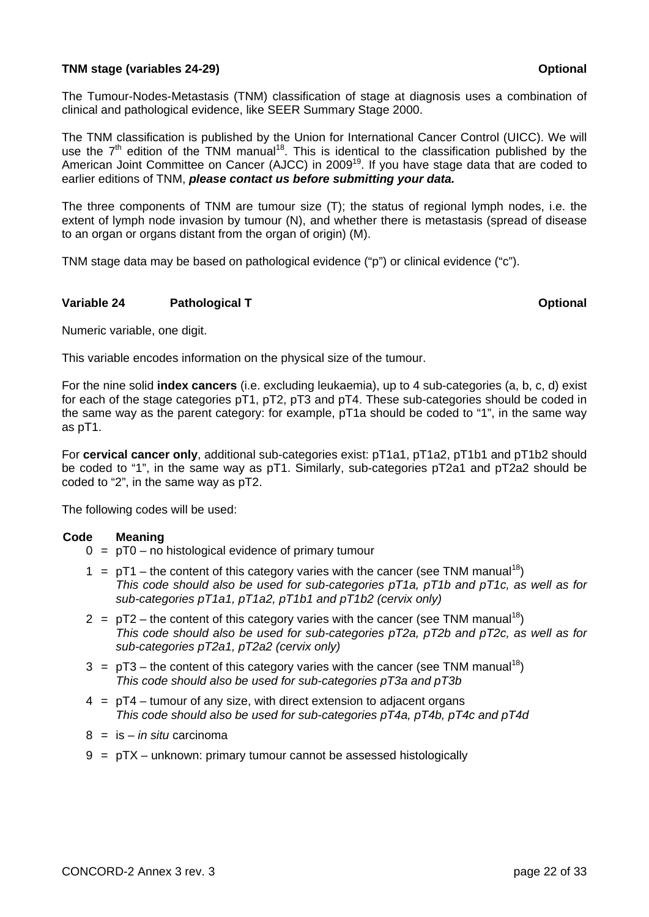## **TNM stage (variables 24-29) CONSIDENTIAL CONSIDERING CONSIDERING CONSIDERING CONSIDERING CONSIDERING CONSIDERING CONSIDERING CONSIDERING CONSIDERING CONSIDERING CONSIDERING CONSIDERING CONSIDERING CONSIDERING CONSIDERIN**

The Tumour-Nodes-Metastasis (TNM) classification of stage at diagnosis uses a combination of clinical and pathological evidence, like SEER Summary Stage 2000.

The TNM classification is published by the Union for International Cancer Control (UICC). We will use the  $7<sup>th</sup>$  edition of the TNM manual<sup>18</sup>. This is identical to the classification published by the American Joint Committee on Cancer (AJCC) in 2009<sup>19</sup>. If you have stage data that are coded to earlier editions of TNM, *please contact us before submitting your data.*

The three components of TNM are tumour size (T); the status of regional lymph nodes, i.e. the extent of lymph node invasion by tumour (N), and whether there is metastasis (spread of disease to an organ or organs distant from the organ of origin) (M).

TNM stage data may be based on pathological evidence ("p") or clinical evidence ("c").

### **Variable 24** Pathological T **Constanting Construction Construction Construction Construction Constanting Construction Construction Construction Construction Construction Construction Construction Construction Construction**

Numeric variable, one digit.

This variable encodes information on the physical size of the tumour.

For the nine solid **index cancers** (i.e. excluding leukaemia), up to 4 sub-categories (a, b, c, d) exist for each of the stage categories pT1, pT2, pT3 and pT4. These sub-categories should be coded in the same way as the parent category: for example, pT1a should be coded to "1", in the same way as pT1.

For **cervical cancer only**, additional sub-categories exist: pT1a1, pT1a2, pT1b1 and pT1b2 should be coded to "1", in the same way as pT1. Similarly, sub-categories pT2a1 and pT2a2 should be coded to "2", in the same way as pT2.

The following codes will be used:

- $0 = pT0 no$  histological evidence of primary tumour
- $1 = pT1$  the content of this category varies with the cancer (see TNM manual<sup>18</sup>)  *This code should also be used for sub-categories pT1a, pT1b and pT1c, as well as for sub-categories pT1a1, pT1a2, pT1b1 and pT1b2 (cervix only)*
- $2 = pT2$  the content of this category varies with the cancer (see TNM manual<sup>18</sup>)  *This code should also be used for sub-categories pT2a, pT2b and pT2c, as well as for sub-categories pT2a1, pT2a2 (cervix only)*
- $3 = pT3$  the content of this category varies with the cancer (see TNM manual<sup>18</sup>)  *This code should also be used for sub-categories pT3a and pT3b*
- $4 = pT4$  tumour of any size, with direct extension to adjacent organs  *This code should also be used for sub-categories pT4a, pT4b, pT4c and pT4d*
- 8 = is *in situ* carcinoma
- 9 = pTX unknown: primary tumour cannot be assessed histologically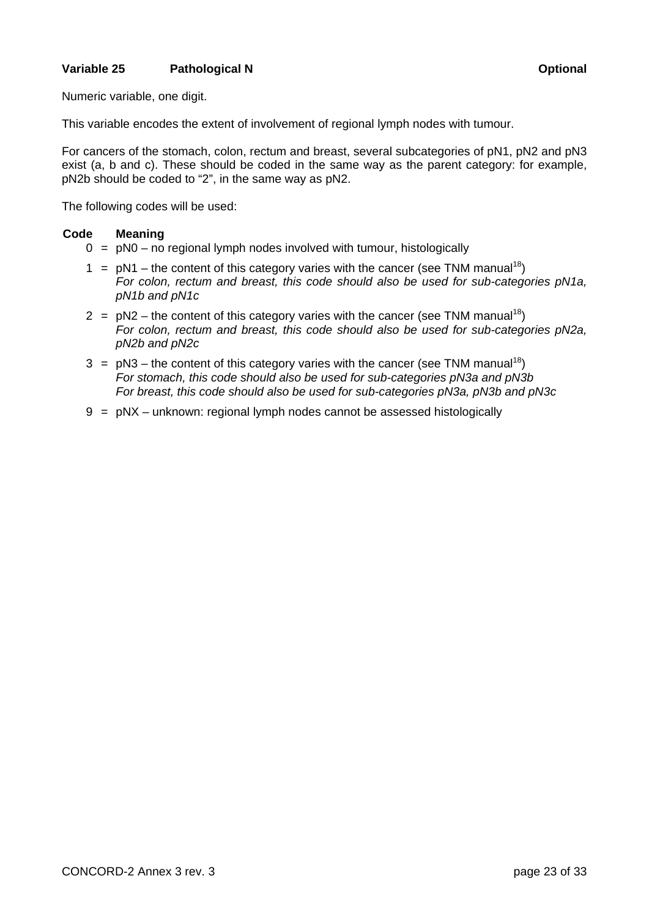## **Variable 25** Pathological N **Properties All 25** Optional **Properties**

Numeric variable, one digit.

This variable encodes the extent of involvement of regional lymph nodes with tumour.

For cancers of the stomach, colon, rectum and breast, several subcategories of pN1, pN2 and pN3 exist (a, b and c). These should be coded in the same way as the parent category: for example, pN2b should be coded to "2", in the same way as pN2.

The following codes will be used:

- $0 = pNO no$  regional lymph nodes involved with tumour, histologically
- 1 =  $pN1$  the content of this category varies with the cancer (see TNM manual<sup>18</sup>)  *For colon, rectum and breast, this code should also be used for sub-categories pN1a, pN1b and pN1c*
- $2 = pN2$  the content of this category varies with the cancer (see TNM manual<sup>18</sup>)  *For colon, rectum and breast, this code should also be used for sub-categories pN2a, pN2b and pN2c*
- $3 = pN3$  the content of this category varies with the cancer (see TNM manual<sup>18</sup>)  *For stomach, this code should also be used for sub-categories pN3a and pN3b For breast, this code should also be used for sub-categories pN3a, pN3b and pN3c*
- 9 = pNX unknown: regional lymph nodes cannot be assessed histologically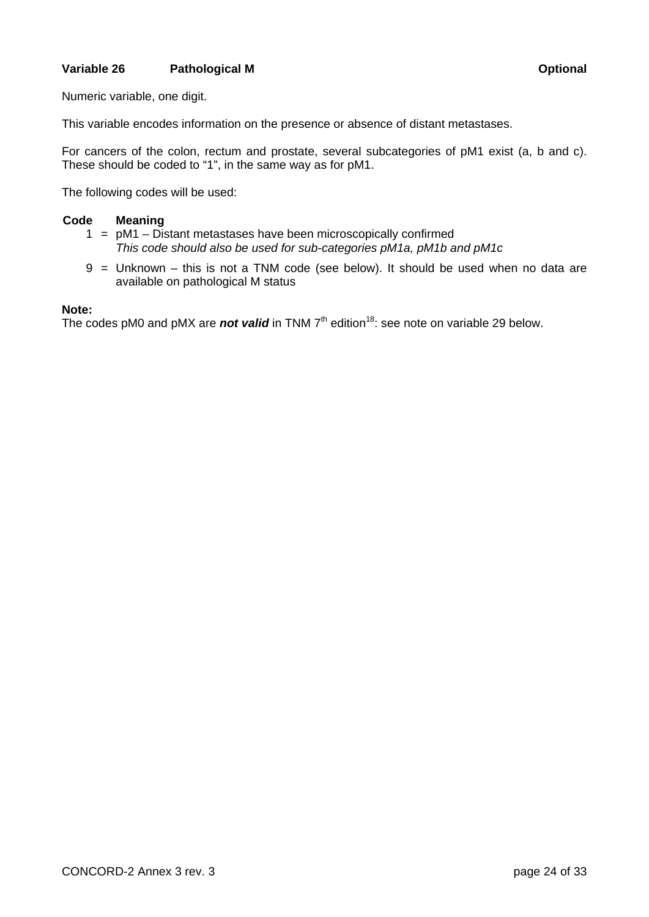## **Variable 26** Pathological M **Optional** *Decision* **Optional**

Numeric variable, one digit.

This variable encodes information on the presence or absence of distant metastases.

For cancers of the colon, rectum and prostate, several subcategories of pM1 exist (a, b and c). These should be coded to "1", in the same way as for pM1.

The following codes will be used:

### **Code Meaning**

- 1 = pM1 Distant metastases have been microscopically confirmed  *This code should also be used for sub-categories pM1a, pM1b and pM1c*
- 9 = Unknown this is not a TNM code (see below). It should be used when no data are available on pathological M status

### **Note:**

The codes pM0 and pMX are **not valid** in TNM 7<sup>th</sup> edition<sup>18</sup>: see note on variable 29 below.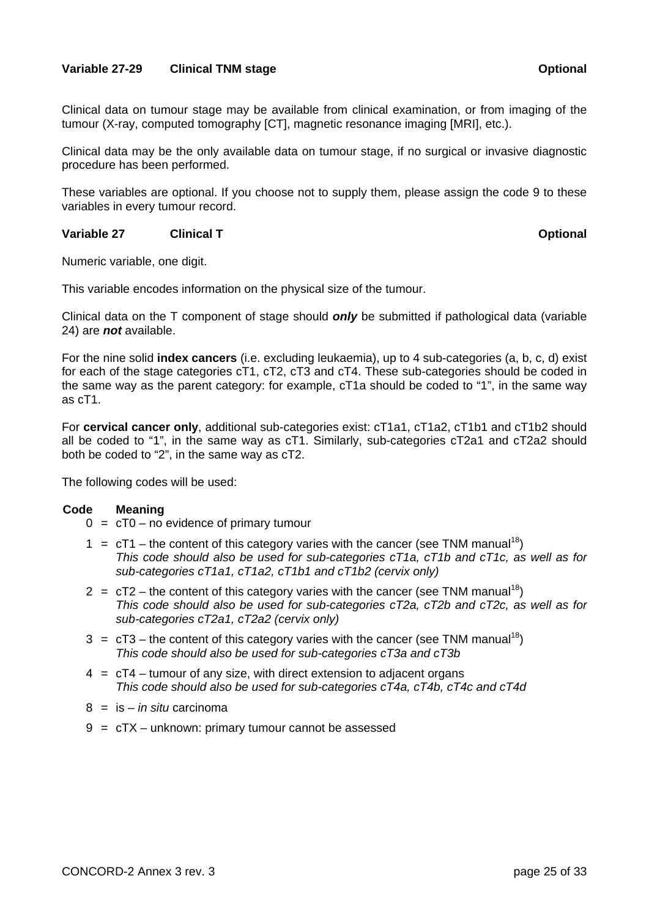## **Variable 27-29 Clinical TNM stage Contract Contract Contract Contract Contract Contract Contract Contract Contract Contract Contract Contract Contract Contract Contract Contract Contract Contract Contract Contract Contrac**

Clinical data on tumour stage may be available from clinical examination, or from imaging of the tumour (X-ray, computed tomography [CT], magnetic resonance imaging [MRI], etc.).

Clinical data may be the only available data on tumour stage, if no surgical or invasive diagnostic procedure has been performed.

These variables are optional. If you choose not to supply them, please assign the code 9 to these variables in every tumour record.

## **Variable 27** Clinical T Construction Construction Construction Construction Construction Construction Construction Construction Construction Construction Construction Construction Construction Construction Construction Co

Numeric variable, one digit.

This variable encodes information on the physical size of the tumour.

Clinical data on the T component of stage should *only* be submitted if pathological data (variable 24) are *not* available.

For the nine solid **index cancers** (i.e. excluding leukaemia), up to 4 sub-categories (a, b, c, d) exist for each of the stage categories cT1, cT2, cT3 and cT4. These sub-categories should be coded in the same way as the parent category: for example, cT1a should be coded to "1", in the same way as cT1.

For **cervical cancer only**, additional sub-categories exist: cT1a1, cT1a2, cT1b1 and cT1b2 should all be coded to "1", in the same way as cT1. Similarly, sub-categories cT2a1 and cT2a2 should both be coded to "2", in the same way as cT2.

The following codes will be used:

- $0 = cT0$  no evidence of primary tumour
- 1 =  $cT1$  the content of this category varies with the cancer (see TNM manual<sup>18</sup>)  *This code should also be used for sub-categories cT1a, cT1b and cT1c, as well as for sub-categories cT1a1, cT1a2, cT1b1 and cT1b2 (cervix only)*
- $2 = cT2$  the content of this category varies with the cancer (see TNM manual<sup>18</sup>)  *This code should also be used for sub-categories cT2a, cT2b and cT2c, as well as for sub-categories cT2a1, cT2a2 (cervix only)*
- $3 = cT3$  the content of this category varies with the cancer (see TNM manual<sup>18</sup>)  *This code should also be used for sub-categories cT3a and cT3b*
- $4 = cT4 t$  tumour of any size, with direct extension to adjacent organs  *This code should also be used for sub-categories cT4a, cT4b, cT4c and cT4d*
- 8 = is *in situ* carcinoma
- 9 = cTX unknown: primary tumour cannot be assessed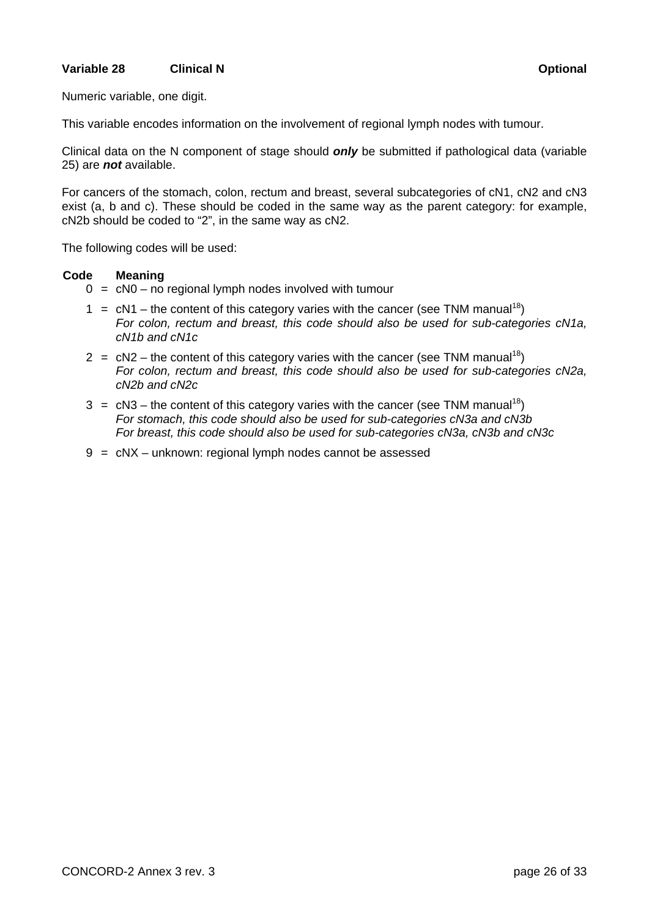## **Variable 28** Clinical N Clinical N Clinical A Clinical N C C CLINICAL CONSUMICATION CONTINUES OPTIONAL CONTINUES

Numeric variable, one digit.

This variable encodes information on the involvement of regional lymph nodes with tumour.

Clinical data on the N component of stage should *only* be submitted if pathological data (variable 25) are *not* available.

For cancers of the stomach, colon, rectum and breast, several subcategories of cN1, cN2 and cN3 exist (a, b and c). These should be coded in the same way as the parent category: for example, cN2b should be coded to "2", in the same way as cN2.

The following codes will be used:

- $0 = cN0$  no regional lymph nodes involved with tumour
- 1 =  $cN1$  the content of this category varies with the cancer (see TNM manual<sup>18</sup>)  *For colon, rectum and breast, this code should also be used for sub-categories cN1a, cN1b and cN1c*
- $2 = cN2$  the content of this category varies with the cancer (see TNM manual<sup>18</sup>)  *For colon, rectum and breast, this code should also be used for sub-categories cN2a, cN2b and cN2c*
- $3 = cN3$  the content of this category varies with the cancer (see TNM manual<sup>18</sup>)  *For stomach, this code should also be used for sub-categories cN3a and cN3b For breast, this code should also be used for sub-categories cN3a, cN3b and cN3c*
- 9 = cNX unknown: regional lymph nodes cannot be assessed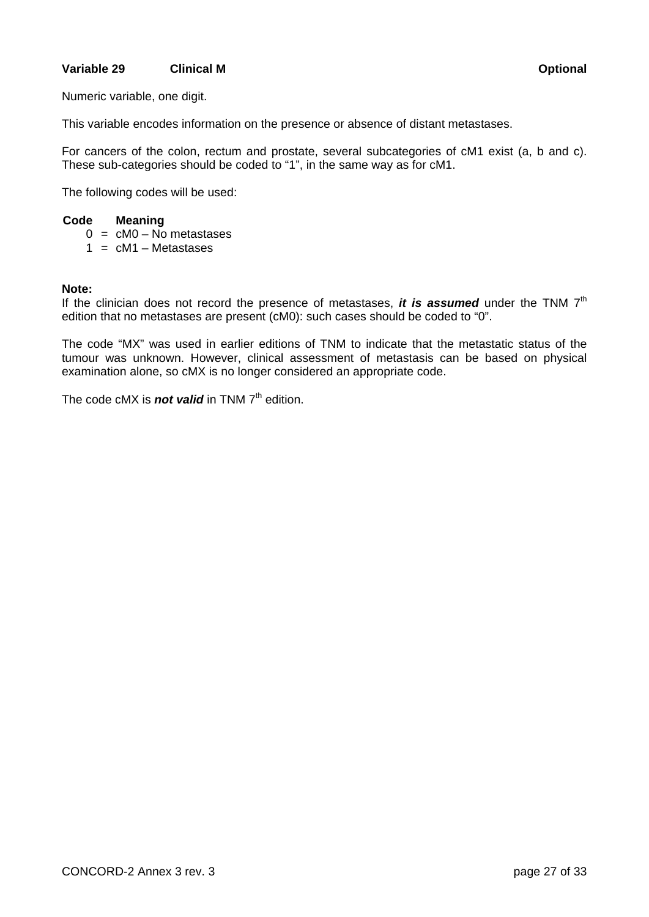## **Variable 29 Clinical M** Communical Communication Continues and Continues Continues Continues Continues Continues

Numeric variable, one digit.

This variable encodes information on the presence or absence of distant metastases.

For cancers of the colon, rectum and prostate, several subcategories of cM1 exist (a, b and c). These sub-categories should be coded to "1", in the same way as for cM1.

The following codes will be used:

#### **Code Meaning**

- $0 = cM0 No$  metastases
- $1 = cM1 Metastases$

#### **Note:**

If the clinician does not record the presence of metastases, *it is assumed* under the TNM 7<sup>th</sup> edition that no metastases are present (cM0): such cases should be coded to "0".

The code "MX" was used in earlier editions of TNM to indicate that the metastatic status of the tumour was unknown. However, clinical assessment of metastasis can be based on physical examination alone, so cMX is no longer considered an appropriate code.

The code cMX is **not valid** in TNM 7<sup>th</sup> edition.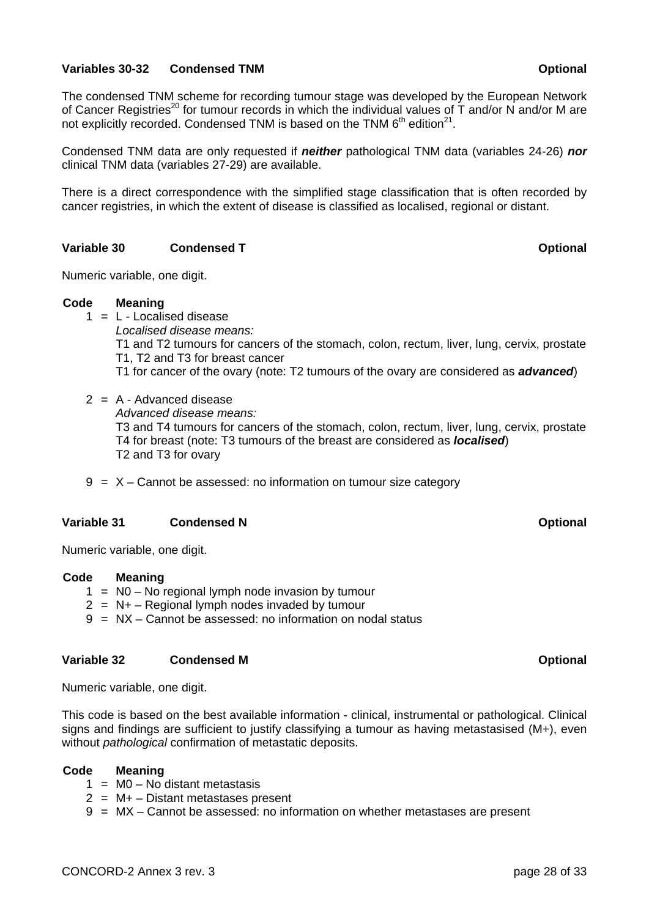## **Variables 30-32 Condensed TNM Condensed FORM CONSERVATION CONTINUES AND CONTINUES AT A CONTINUES OF A CONSERVATION**

The condensed TNM scheme for recording tumour stage was developed by the European Network of Cancer Registries<sup>20</sup> for tumour records in which the individual values of  $\tilde{T}$  and/or N and/or M are not explicitly recorded. Condensed TNM is based on the TNM  $6<sup>th</sup>$  edition<sup>21</sup>.

Condensed TNM data are only requested if *neither* pathological TNM data (variables 24-26) *nor* clinical TNM data (variables 27-29) are available.

There is a direct correspondence with the simplified stage classification that is often recorded by cancer registries, in which the extent of disease is classified as localised, regional or distant.

## **Variable 30 Condensed T** Condensed T Condensed T Condense Condense T Condense T Condense T Condense T Condense T Condense T Condense T Condense T Condense T Condense T Condense T Condense T Condense T Condense T Condense

Numeric variable, one digit.

### **Code Meaning**

- $1 = L -$  Localised disease *Localised disease means:* 
	- T1 and T2 tumours for cancers of the stomach, colon, rectum, liver, lung, cervix, prostate T1, T2 and T3 for breast cancer
	- T1 for cancer of the ovary (note: T2 tumours of the ovary are considered as *advanced*)
- $2 = A Advanced disease$ 
	- *Advanced disease means:*

 T3 and T4 tumours for cancers of the stomach, colon, rectum, liver, lung, cervix, prostate T4 for breast (note: T3 tumours of the breast are considered as *localised*) T2 and T3 for ovary

 $9 = X -$ Cannot be assessed: no information on tumour size category

## **Variable 31** Condensed N Condensed N Condense N Condense N Condense N Condense N Condense N Condense N Condense N Condense N Condense N Condense N Condense N Condense N Condense N Condense N Condense N Condense N Condense

Numeric variable, one digit.

### **Code Meaning**

- $1 = NO No$  regional lymph node invasion by tumour
- $2 = N + -$  Regional lymph nodes invaded by tumour
- 9 = NX Cannot be assessed: no information on nodal status

### **Variable 32** Condensed M **Optional Condensed M Optional Optional Optional Optional**

Numeric variable, one digit.

This code is based on the best available information - clinical, instrumental or pathological. Clinical signs and findings are sufficient to justify classifying a tumour as having metastasised (M+), even without *pathological* confirmation of metastatic deposits.

- $1 = MO No$  distant metastasis
- $2 = M + -$  Distant metastases present
- 9 = MX Cannot be assessed: no information on whether metastases are present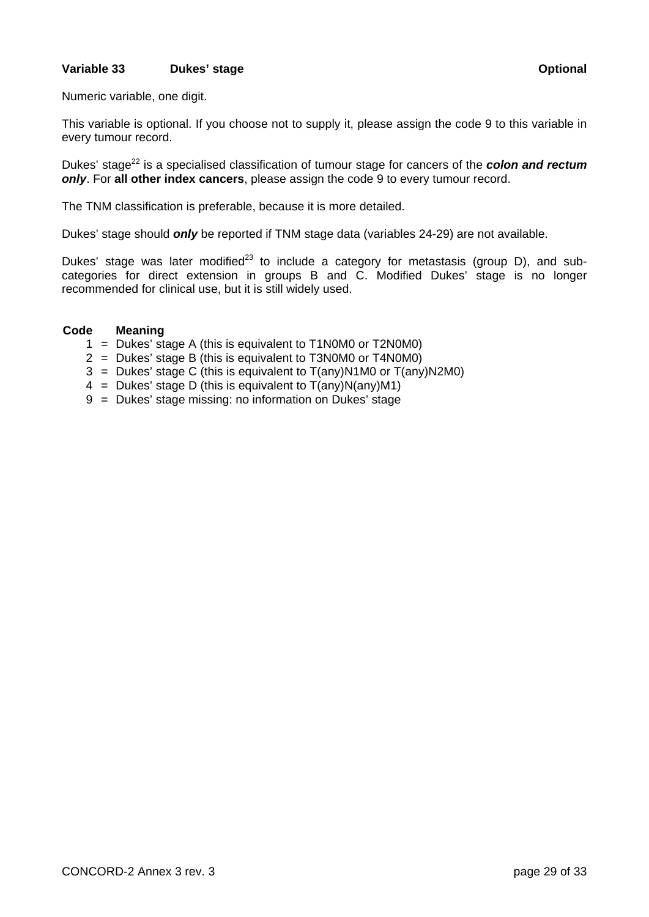## **Variable 33** Dukes' stage **Dukes' stage Contract Contract Contract Contract Contract Contract Contract Contract Contract Contract Contract Contract Contract Contract Contract Contract Contract Contract Contract Contract C**

Numeric variable, one digit.

This variable is optional. If you choose not to supply it, please assign the code 9 to this variable in every tumour record.

Dukes' stage<sup>22</sup> is a specialised classification of tumour stage for cancers of the **colon and rectum** *only*. For **all other index cancers**, please assign the code 9 to every tumour record.

The TNM classification is preferable, because it is more detailed.

Dukes' stage should *only* be reported if TNM stage data (variables 24-29) are not available.

Dukes' stage was later modified<sup>23</sup> to include a category for metastasis (group D), and subcategories for direct extension in groups B and C. Modified Dukes' stage is no longer recommended for clinical use, but it is still widely used.

- 1 = Dukes' stage A (this is equivalent to T1N0M0 or T2N0M0)
- 2 = Dukes' stage B (this is equivalent to T3N0M0 or T4N0M0)
- $3 =$  Dukes' stage C (this is equivalent to  $T($ any)N1M0 or  $T($ any)N2M0)
- 4 = Dukes' stage D (this is equivalent to  $T($ any) $N($ any) $M1)$
- 9 = Dukes' stage missing: no information on Dukes' stage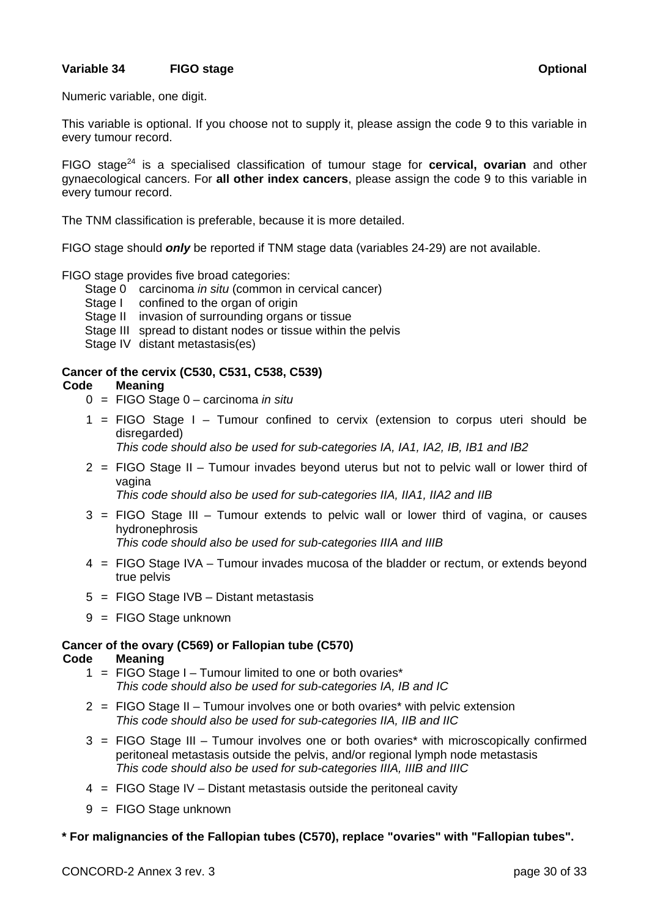## **Variable 34** FIGO stage **COMPASS CONSUMING STAGE Optional** *Continuers* **Continuers**

Numeric variable, one digit.

This variable is optional. If you choose not to supply it, please assign the code 9 to this variable in every tumour record.

FIGO stage<sup>24</sup> is a specialised classification of tumour stage for **cervical, ovarian** and other gynaecological cancers. For **all other index cancers**, please assign the code 9 to this variable in every tumour record.

The TNM classification is preferable, because it is more detailed.

FIGO stage should *only* be reported if TNM stage data (variables 24-29) are not available.

### FIGO stage provides five broad categories:

- Stage 0 carcinoma *in situ* (common in cervical cancer)
- Stage I confined to the organ of origin
- Stage II invasion of surrounding organs or tissue
- Stage III spread to distant nodes or tissue within the pelvis
- Stage IV distant metastasis(es)

## **Cancer of the cervix (C530, C531, C538, C539)**

## **Code Meaning**

- 0 = FIGO Stage 0 carcinoma *in situ*
- 1 = FIGO Stage I Tumour confined to cervix (extension to corpus uteri should be disregarded)

 *This code should also be used for sub-categories IA, IA1, IA2, IB, IB1 and IB2* 

 2 = FIGO Stage II – Tumour invades beyond uterus but not to pelvic wall or lower third of vagina

 *This code should also be used for sub-categories IIA, IIA1, IIA2 and IIB* 

 3 = FIGO Stage III – Tumour extends to pelvic wall or lower third of vagina, or causes hydronephrosis

 *This code should also be used for sub-categories IIIA and IIIB* 

- 4 = FIGO Stage IVA Tumour invades mucosa of the bladder or rectum, or extends beyond true pelvis
- 5 = FIGO Stage IVB Distant metastasis
- 9 = FIGO Stage unknown

## **Cancer of the ovary (C569) or Fallopian tube (C570)**

### **Code Meaning**

- 1 = FIGO Stage I Tumour limited to one or both ovaries\*  *This code should also be used for sub-categories IA, IB and IC*
- 2 = FIGO Stage II Tumour involves one or both ovaries\* with pelvic extension  *This code should also be used for sub-categories IIA, IIB and IIC*
- 3 = FIGO Stage III Tumour involves one or both ovaries\* with microscopically confirmed peritoneal metastasis outside the pelvis, and/or regional lymph node metastasis  *This code should also be used for sub-categories IIIA, IIIB and IIIC*
- 4 = FIGO Stage IV Distant metastasis outside the peritoneal cavity
- 9 = FIGO Stage unknown

## **\* For malignancies of the Fallopian tubes (C570), replace "ovaries" with "Fallopian tubes".**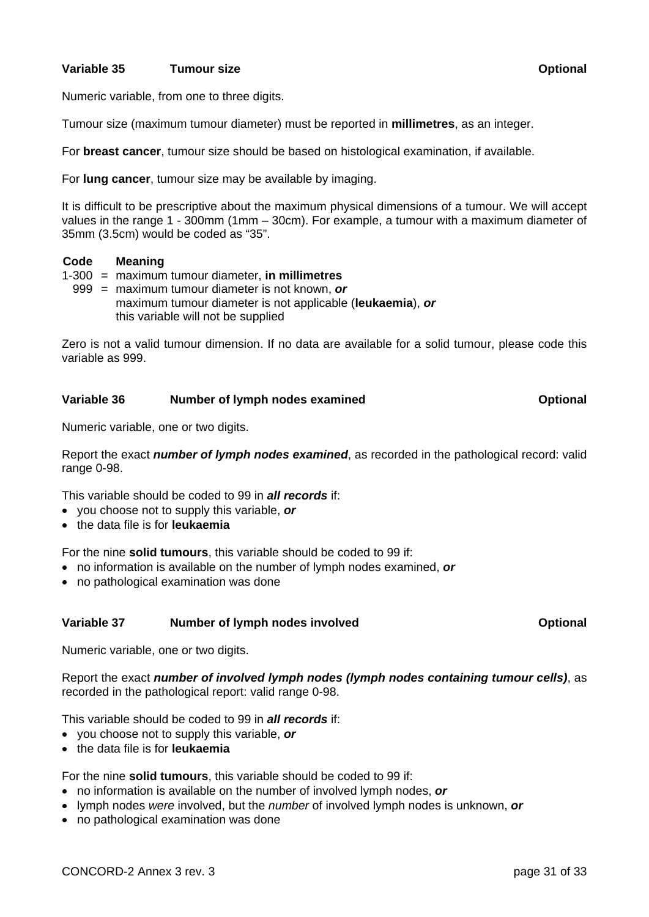## **Variable 35** Tumour size **Transfer Constructional Construction Optional Optional**

Numeric variable, from one to three digits.

Tumour size (maximum tumour diameter) must be reported in **millimetres**, as an integer.

For **breast cancer**, tumour size should be based on histological examination, if available.

For **lung cancer**, tumour size may be available by imaging.

It is difficult to be prescriptive about the maximum physical dimensions of a tumour. We will accept values in the range 1 - 300mm (1mm – 30cm). For example, a tumour with a maximum diameter of 35mm (3.5cm) would be coded as "35".

## **Code Meaning**

- 1-300 = maximum tumour diameter, **in millimetres**
	- 999 = maximum tumour diameter is not known, *or* maximum tumour diameter is not applicable (**leukaemia**), *or* this variable will not be supplied

Zero is not a valid tumour dimension. If no data are available for a solid tumour, please code this variable as 999.

# Variable 36 Mumber of lymph nodes examined **Number 2018** Optional

Numeric variable, one or two digits.

Report the exact *number of lymph nodes examined*, as recorded in the pathological record: valid range 0-98.

This variable should be coded to 99 in *all records* if:

- you choose not to supply this variable, *or*
- the data file is for **leukaemia**

For the nine **solid tumours**, this variable should be coded to 99 if:

- no information is available on the number of lymph nodes examined, *or*
- no pathological examination was done

## Variable 37 **Number of lymph nodes involved Containery Optional**  Optional

Numeric variable, one or two digits.

Report the exact *number of involved lymph nodes (lymph nodes containing tumour cells)*, as recorded in the pathological report: valid range 0-98.

This variable should be coded to 99 in *all records* if:

- you choose not to supply this variable, *or*
- the data file is for **leukaemia**

For the nine **solid tumours**, this variable should be coded to 99 if:

- no information is available on the number of involved lymph nodes, *or*
- lymph nodes *were* involved, but the *number* of involved lymph nodes is unknown, *or*
- no pathological examination was done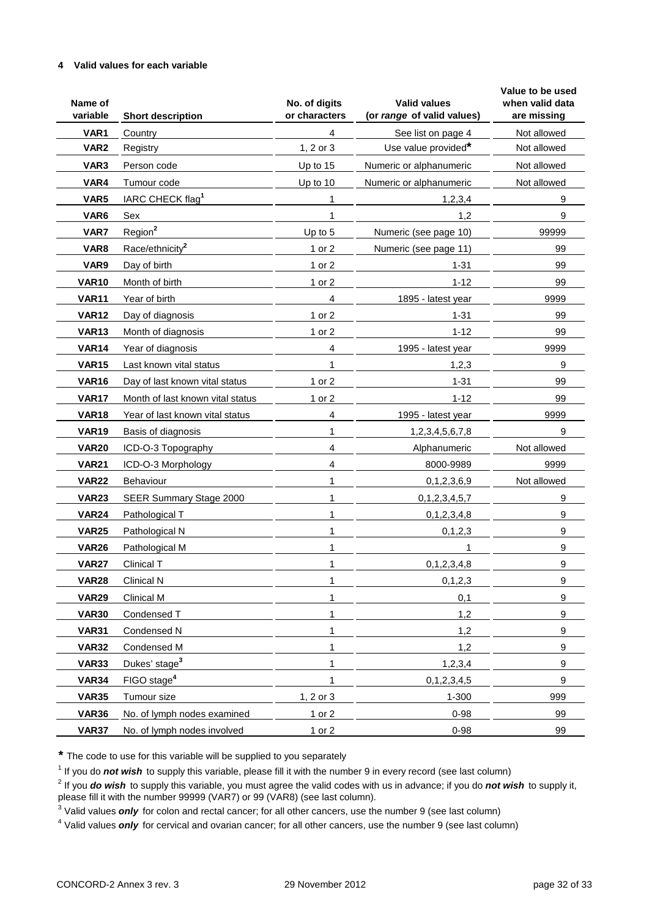#### **4 Valid values for each variable**

| Name of<br>variable | <b>Short description</b>         | No. of digits<br>or characters | <b>Valid values</b><br>(or range of valid values) | Value to be used<br>when valid data<br>are missing |
|---------------------|----------------------------------|--------------------------------|---------------------------------------------------|----------------------------------------------------|
| VAR1                | Country                          | 4                              | See list on page 4                                | Not allowed                                        |
| VAR <sub>2</sub>    | Registry                         | 1, 2 or 3                      | Use value provided*                               | Not allowed                                        |
| VAR <sub>3</sub>    | Person code                      | Up to 15                       | Numeric or alphanumeric                           | Not allowed                                        |
| VAR4                | Tumour code                      | Up to 10                       | Numeric or alphanumeric                           | Not allowed                                        |
| VAR5                | IARC CHECK flag <sup>1</sup>     | 1                              | 1,2,3,4                                           | 9                                                  |
| VAR6                | Sex                              |                                | 1,2                                               | 9                                                  |
| VAR7                | Region <sup>2</sup>              | Up to 5                        | Numeric (see page 10)                             | 99999                                              |
| VAR8                | Race/ethnicity <sup>2</sup>      | 1 or 2                         | Numeric (see page 11)                             | 99                                                 |
| VAR9                | Day of birth                     | 1 or 2                         | $1 - 31$                                          | 99                                                 |
| <b>VAR10</b>        | Month of birth                   | 1 or 2                         | $1 - 12$                                          | 99                                                 |
| <b>VAR11</b>        | Year of birth                    | 4                              | 1895 - latest year                                | 9999                                               |
| <b>VAR12</b>        | Day of diagnosis                 | 1 or 2                         | $1 - 31$                                          | 99                                                 |
| <b>VAR13</b>        | Month of diagnosis               | 1 or 2                         | $1 - 12$                                          | 99                                                 |
| <b>VAR14</b>        | Year of diagnosis                | 4                              | 1995 - latest year                                | 9999                                               |
| <b>VAR15</b>        | Last known vital status          | 1                              | 1,2,3                                             | 9                                                  |
| <b>VAR16</b>        | Day of last known vital status   | 1 or 2                         | $1 - 31$                                          | 99                                                 |
| <b>VAR17</b>        | Month of last known vital status | 1 or 2                         | $1 - 12$                                          | 99                                                 |
| <b>VAR18</b>        | Year of last known vital status  | 4                              | 1995 - latest year                                | 9999                                               |
| <b>VAR19</b>        | Basis of diagnosis               | 1                              | 1,2,3,4,5,6,7,8                                   | 9                                                  |
| <b>VAR20</b>        | ICD-O-3 Topography               | 4                              | Alphanumeric                                      | Not allowed                                        |
| <b>VAR21</b>        | ICD-O-3 Morphology               | 4                              | 8000-9989                                         | 9999                                               |
| <b>VAR22</b>        | Behaviour                        | 1                              | 0, 1, 2, 3, 6, 9                                  | Not allowed                                        |
| <b>VAR23</b>        | SEER Summary Stage 2000          | 1                              | 0,1,2,3,4,5,7                                     | 9                                                  |
| <b>VAR24</b>        | Pathological T                   | 1                              | 0,1,2,3,4,8                                       | 9                                                  |
| <b>VAR25</b>        | Pathological N                   | 1                              | 0, 1, 2, 3                                        | 9                                                  |
| <b>VAR26</b>        | Pathological M                   | 1                              | 1                                                 | 9                                                  |
| <b>VAR27</b>        | Clinical T                       | 1                              | 0, 1, 2, 3, 4, 8                                  | 9                                                  |
| <b>VAR28</b>        | <b>Clinical N</b>                | 1                              | 0, 1, 2, 3                                        | $\boldsymbol{9}$                                   |
| <b>VAR29</b>        | Clinical M                       | 1                              | 0,1                                               | 9                                                  |
| <b>VAR30</b>        | Condensed T                      |                                | 1,2                                               | 9                                                  |
| <b>VAR31</b>        | Condensed N                      |                                | 1,2                                               | 9                                                  |
| <b>VAR32</b>        | Condensed M                      |                                | 1,2                                               | 9                                                  |
| <b>VAR33</b>        | Dukes' stage <sup>3</sup>        |                                | 1,2,3,4                                           | 9                                                  |
| <b>VAR34</b>        | FIGO stage <sup>4</sup>          |                                | 0, 1, 2, 3, 4, 5                                  | 9                                                  |
| <b>VAR35</b>        | Tumour size                      | 1, 2 or 3                      | 1-300                                             | 999                                                |
| <b>VAR36</b>        | No. of lymph nodes examined      | 1 or 2                         | $0 - 98$                                          | 99                                                 |
| <b>VAR37</b>        | No. of lymph nodes involved      | 1 or 2                         | $0 - 98$                                          | 99                                                 |

**\*** The code to use for this variable will be supplied to you separately

<sup>1</sup> If you do *not wish* to supply this variable, please fill it with the number 9 in every record (see last column)

2 If you *do wish* to supply this variable, you must agree the valid codes with us in advance; if you do *not wish* to supply it,

please fill it with the number 99999 (VAR7) or 99 (VAR8) (see last column).

<sup>3</sup> Valid values *only* for colon and rectal cancer; for all other cancers, use the number 9 (see last column)

<sup>4</sup> Valid values *only* for cervical and ovarian cancer; for all other cancers, use the number 9 (see last column)